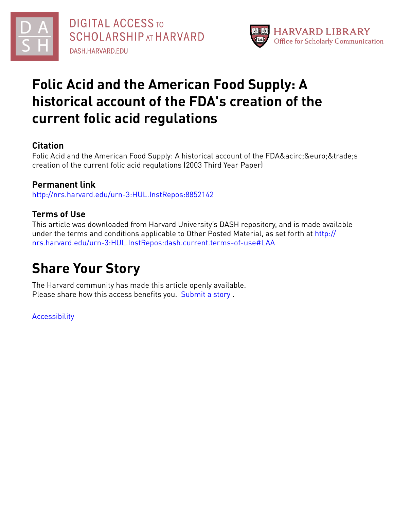



## **Folic Acid and the American Food Supply: A historical account of the FDA's creation of the current folic acid regulations**

## **Citation**

Folic Acid and the American Food Supply: A historical account of the FDAâ & euro; & trade; s creation of the current folic acid regulations (2003 Third Year Paper)

## **Permanent link**

<http://nrs.harvard.edu/urn-3:HUL.InstRepos:8852142>

## **Terms of Use**

This article was downloaded from Harvard University's DASH repository, and is made available under the terms and conditions applicable to Other Posted Material, as set forth at [http://](http://nrs.harvard.edu/urn-3:HUL.InstRepos:dash.current.terms-of-use#LAA) [nrs.harvard.edu/urn-3:HUL.InstRepos:dash.current.terms-of-use#LAA](http://nrs.harvard.edu/urn-3:HUL.InstRepos:dash.current.terms-of-use#LAA)

# **Share Your Story**

The Harvard community has made this article openly available. Please share how this access benefits you. [Submit](http://osc.hul.harvard.edu/dash/open-access-feedback?handle=&title=Folic%20Acid%20and%20the%20American%20Food%20Supply:%20A%20historical%20account%20of%20the%20FDA) a story.

[Accessibility](https://dash.harvard.edu/pages/accessibility)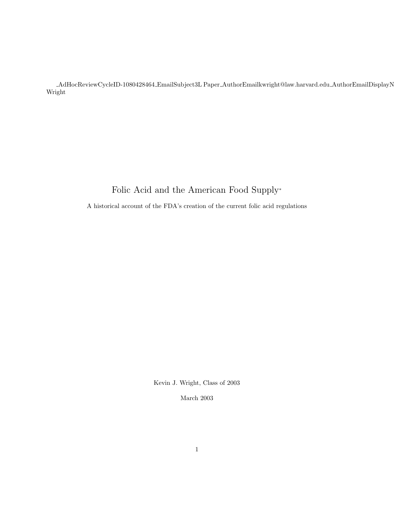$\label{thm:adHocke} \textsc{AddHockeive} \textsc{CycleID-1080428464} \textsc{EmailSubject3L Paper}. \textsc{AuthorEmailKwright} @ \text{law.harvard.edu}\textsc{AuthorEmailDisplayN}$ Wright

## Folic Acid and the American Food Supply<sup>∗</sup>

A historical account of the FDA's creation of the current folic acid regulations

Kevin J. Wright, Class of 2003

March 2003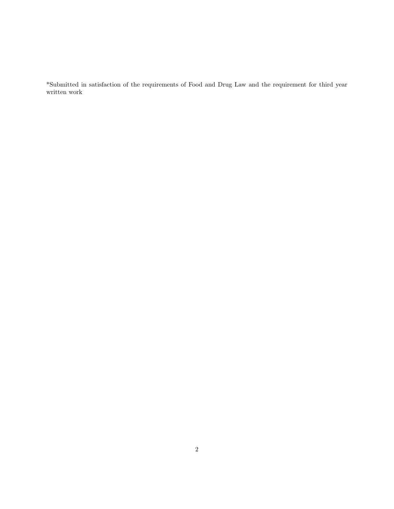\*Submitted in satisfaction of the requirements of Food and Drug Law and the requirement for third year written work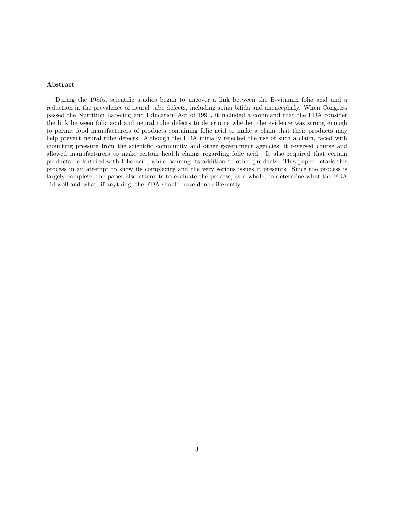#### Abstract

During the 1980s, scientific studies began to uncover a link between the B-vitamin folic acid and a reduction in the prevalence of neural tube defects, including spina bifida and anencephaly. When Congress passed the Nutrition Labeling and Education Act of 1990, it included a command that the FDA consider the link between folic acid and neural tube defects to determine whether the evidence was strong enough to permit food manufacturers of products containing folic acid to make a claim that their products may help prevent neural tube defects. Although the FDA initially rejected the use of such a claim, faced with mounting pressure from the scientific community and other government agencies, it reversed course and allowed manufacturers to make certain health claims regarding folic acid. It also required that certain products be fortified with folic acid, while banning its addition to other products. This paper details this process in an attempt to show its complexity and the very serious issues it presents. Since the process is largely complete, the paper also attempts to evaluate the process, as a whole, to determine what the FDA did well and what, if anything, the FDA should have done differently.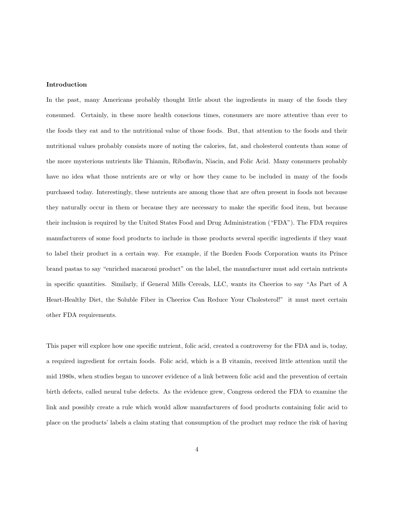#### Introduction

In the past, many Americans probably thought little about the ingredients in many of the foods they consumed. Certainly, in these more health conscious times, consumers are more attentive than ever to the foods they eat and to the nutritional value of those foods. But, that attention to the foods and their nutritional values probably consists more of noting the calories, fat, and cholesterol contents than some of the more mysterious nutrients like Thiamin, Riboflavin, Niacin, and Folic Acid. Many consumers probably have no idea what those nutrients are or why or how they came to be included in many of the foods purchased today. Interestingly, these nutrients are among those that are often present in foods not because they naturally occur in them or because they are necessary to make the specific food item, but because their inclusion is required by the United States Food and Drug Administration ("FDA"). The FDA requires manufacturers of some food products to include in those products several specific ingredients if they want to label their product in a certain way. For example, if the Borden Foods Corporation wants its Prince brand pastas to say "enriched macaroni product" on the label, the manufacturer must add certain nutrients in specific quantities. Similarly, if General Mills Cereals, LLC, wants its Cheerios to say "As Part of A Heart-Healthy Diet, the Soluble Fiber in Cheerios Can Reduce Your Cholesterol!" it must meet certain other FDA requirements.

This paper will explore how one specific nutrient, folic acid, created a controversy for the FDA and is, today, a required ingredient for certain foods. Folic acid, which is a B vitamin, received little attention until the mid 1980s, when studies began to uncover evidence of a link between folic acid and the prevention of certain birth defects, called neural tube defects. As the evidence grew, Congress ordered the FDA to examine the link and possibly create a rule which would allow manufacturers of food products containing folic acid to place on the products' labels a claim stating that consumption of the product may reduce the risk of having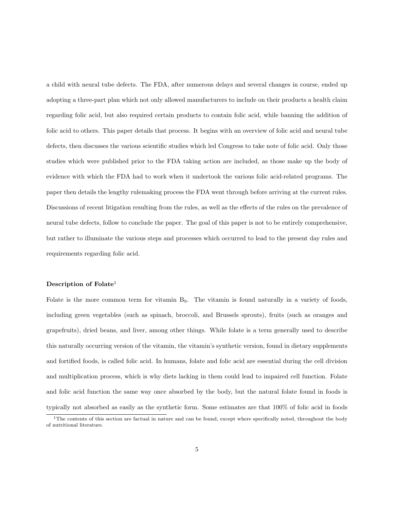a child with neural tube defects. The FDA, after numerous delays and several changes in course, ended up adopting a three-part plan which not only allowed manufacturers to include on their products a health claim regarding folic acid, but also required certain products to contain folic acid, while banning the addition of folic acid to others. This paper details that process. It begins with an overview of folic acid and neural tube defects, then discusses the various scientific studies which led Congress to take note of folic acid. Only those studies which were published prior to the FDA taking action are included, as those make up the body of evidence with which the FDA had to work when it undertook the various folic acid-related programs. The paper then details the lengthy rulemaking process the FDA went through before arriving at the current rules. Discussions of recent litigation resulting from the rules, as well as the effects of the rules on the prevalence of neural tube defects, follow to conclude the paper. The goal of this paper is not to be entirely comprehensive, but rather to illuminate the various steps and processes which occurred to lead to the present day rules and requirements regarding folic acid.

#### Description of Folate<sup>1</sup>

Folate is the more common term for vitamin  $B<sub>9</sub>$ . The vitamin is found naturally in a variety of foods, including green vegetables (such as spinach, broccoli, and Brussels sprouts), fruits (such as oranges and grapefruits), dried beans, and liver, among other things. While folate is a term generally used to describe this naturally occurring version of the vitamin, the vitamin's synthetic version, found in dietary supplements and fortified foods, is called folic acid. In humans, folate and folic acid are essential during the cell division and multiplication process, which is why diets lacking in them could lead to impaired cell function. Folate and folic acid function the same way once absorbed by the body, but the natural folate found in foods is typically not absorbed as easily as the synthetic form. Some estimates are that 100% of folic acid in foods

 $1$ The contents of this section are factual in nature and can be found, except where specifically noted, throughout the body of nutritional literature.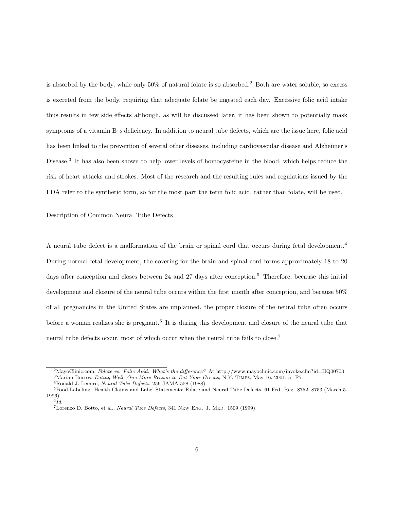is absorbed by the body, while only 50% of natural folate is so absorbed.<sup>2</sup> Both are water soluble, so excess is excreted from the body, requiring that adequate folate be ingested each day. Excessive folic acid intake thus results in few side effects although, as will be discussed later, it has been shown to potentially mask symptoms of a vitamin  $B_{12}$  deficiency. In addition to neural tube defects, which are the issue here, folic acid has been linked to the prevention of several other diseases, including cardiovascular disease and Alzheimer's Disease.<sup>3</sup> It has also been shown to help lower levels of homocysteine in the blood, which helps reduce the risk of heart attacks and strokes. Most of the research and the resulting rules and regulations issued by the FDA refer to the synthetic form, so for the most part the term folic acid, rather than folate, will be used.

Description of Common Neural Tube Defects

A neural tube defect is a malformation of the brain or spinal cord that occurs during fetal development.<sup>4</sup> During normal fetal development, the covering for the brain and spinal cord forms approximately 18 to 20 days after conception and closes between 24 and 27 days after conception.<sup>5</sup> Therefore, because this initial development and closure of the neural tube occurs within the first month after conception, and because 50% of all pregnancies in the United States are unplanned, the proper closure of the neural tube often occurs before a woman realizes she is pregnant.<sup>6</sup> It is during this development and closure of the neural tube that neural tube defects occur, most of which occur when the neural tube fails to close.<sup>7</sup>

<sup>&</sup>lt;sup>2</sup>MayoClinic.com, Folate vs. Folic Acid: What's the difference? At http://www.mayoclinic.com/invoke.cfm?id=HQ00703  $3$ Marian Burros, *Eating Well; One More Reason to Eat Your Greens*, N.Y. TIMES, May 16, 2001, at F5.

 $4$ Ronald J. Lemire, *Neural Tube Defects*, 259 JAMA 558 (1988).

<sup>5</sup>Food Labeling: Health Claims and Label Statements; Folate and Neural Tube Defects, 61 Fed. Reg. 8752, 8753 (March 5, 1996).

 $6\,Id.$ 

<sup>&</sup>lt;sup>7</sup>Lorenzo D. Botto, et al., *Neural Tube Defects*, 341 New Eng. J. Med. 1509 (1999).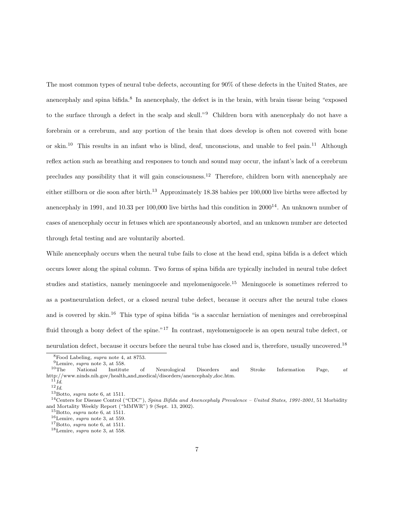The most common types of neural tube defects, accounting for 90% of these defects in the United States, are anencephaly and spina bifida.<sup>8</sup> In anencephaly, the defect is in the brain, with brain tissue being "exposed to the surface through a defect in the scalp and skull."<sup>9</sup> Children born with anencephaly do not have a forebrain or a cerebrum, and any portion of the brain that does develop is often not covered with bone or skin.<sup>10</sup> This results in an infant who is blind, deaf, unconscious, and unable to feel pain.<sup>11</sup> Although reflex action such as breathing and responses to touch and sound may occur, the infant's lack of a cerebrum precludes any possibility that it will gain consciousness.<sup>12</sup> Therefore, children born with anencephaly are either stillborn or die soon after birth.<sup>13</sup> Approximately 18.38 babies per 100,000 live births were affected by anencephaly in 1991, and 10.33 per 100,000 live births had this condition in  $2000^{14}$ . An unknown number of cases of anencephaly occur in fetuses which are spontaneously aborted, and an unknown number are detected through fetal testing and are voluntarily aborted.

While anencephaly occurs when the neural tube fails to close at the head end, spina bifida is a defect which occurs lower along the spinal column. Two forms of spina bifida are typically included in neural tube defect studies and statistics, namely meningocele and myelomenigocele.<sup>15</sup> Meningocele is sometimes referred to as a postneurulation defect, or a closed neural tube defect, because it occurs after the neural tube closes and is covered by skin.<sup>16</sup> This type of spina bifida "is a saccular herniation of meninges and cerebrospinal fluid through a bony defect of the spine."<sup>17</sup> In contrast, myelomenigocele is an open neural tube defect, or neurulation defect, because it occurs before the neural tube has closed and is, therefore, usually uncovered.<sup>18</sup>

<sup>8</sup>Food Labeling, supra note 4, at 8753.

<sup>&</sup>lt;sup>9</sup>Lemire, *supra* note 3, at 558.<br><sup>10</sup>The National Institut

 $10$ The National Institute of Neurological Disorders and Stroke Information Page, at http://www.ninds.nih.gov/health and medical/disorders/anencephaly doc.htm.

 $^{11}Id.$  $12$  Id.

 $13$ Botto, supra note 6, at 1511.

<sup>&</sup>lt;sup>14</sup>Centers for Disease Control ("CDC"), Spina Bifida and Anencephaly Prevalence - United States, 1991-2001, 51 Morbidity and Mortality Weekly Report ("MMWR") 9 (Sept. 13, 2002).

 $15$ Botto, supra note 6, at 1511.

 $^{16}$  Lemire, supra note 3, at 559.

 $17$ Botto, *supra* note 6, at 1511.

 $^{18}$  Lemire,  $\emph{supra}$  note 3, at 558.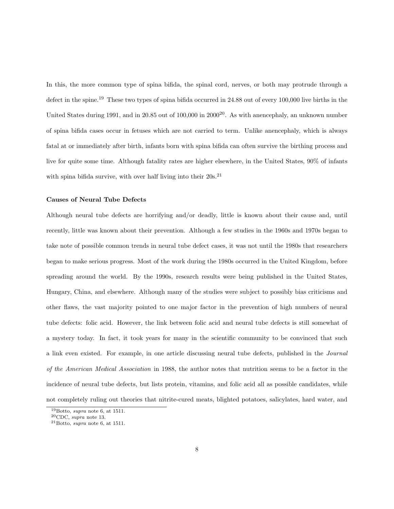In this, the more common type of spina bifida, the spinal cord, nerves, or both may protrude through a defect in the spine.<sup>19</sup> These two types of spina bifida occurred in 24.88 out of every 100,000 live births in the United States during 1991, and in 20.85 out of  $100,000$  in  $2000^{20}$ . As with anencephaly, an unknown number of spina bifida cases occur in fetuses which are not carried to term. Unlike anencephaly, which is always fatal at or immediately after birth, infants born with spina bifida can often survive the birthing process and live for quite some time. Although fatality rates are higher elsewhere, in the United States, 90% of infants with spina bifida survive, with over half living into their  $20s^{21}$ 

#### Causes of Neural Tube Defects

Although neural tube defects are horrifying and/or deadly, little is known about their cause and, until recently, little was known about their prevention. Although a few studies in the 1960s and 1970s began to take note of possible common trends in neural tube defect cases, it was not until the 1980s that researchers began to make serious progress. Most of the work during the 1980s occurred in the United Kingdom, before spreading around the world. By the 1990s, research results were being published in the United States, Hungary, China, and elsewhere. Although many of the studies were subject to possibly bias criticisms and other flaws, the vast majority pointed to one major factor in the prevention of high numbers of neural tube defects: folic acid. However, the link between folic acid and neural tube defects is still somewhat of a mystery today. In fact, it took years for many in the scientific community to be convinced that such a link even existed. For example, in one article discussing neural tube defects, published in the Journal of the American Medical Association in 1988, the author notes that nutrition seems to be a factor in the incidence of neural tube defects, but lists protein, vitamins, and folic acid all as possible candidates, while not completely ruling out theories that nitrite-cured meats, blighted potatoes, salicylates, hard water, and

 $19$ Botto, supra note 6, at 1511.

 ${}^{20}$ CDC, supra note 13.

 $^{21}$ Botto, supra note 6, at 1511.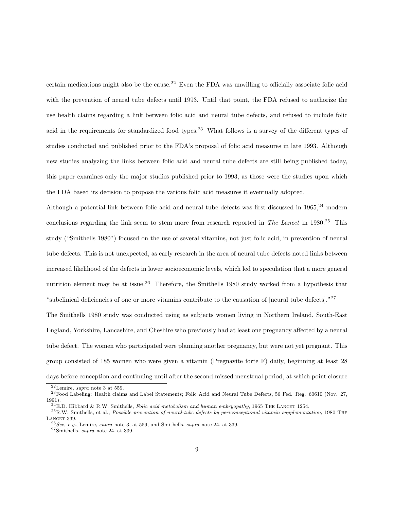certain medications might also be the cause.<sup>22</sup> Even the FDA was unwilling to officially associate folic acid with the prevention of neural tube defects until 1993. Until that point, the FDA refused to authorize the use health claims regarding a link between folic acid and neural tube defects, and refused to include folic acid in the requirements for standardized food types.<sup>23</sup> What follows is a survey of the different types of studies conducted and published prior to the FDA's proposal of folic acid measures in late 1993. Although new studies analyzing the links between folic acid and neural tube defects are still being published today, this paper examines only the major studies published prior to 1993, as those were the studies upon which the FDA based its decision to propose the various folic acid measures it eventually adopted.

Although a potential link between folic acid and neural tube defects was first discussed in 1965,<sup>24</sup> modern conclusions regarding the link seem to stem more from research reported in The Lancet in 1980.<sup>25</sup> This study ("Smithells 1980") focused on the use of several vitamins, not just folic acid, in prevention of neural tube defects. This is not unexpected, as early research in the area of neural tube defects noted links between increased likelihood of the defects in lower socioeconomic levels, which led to speculation that a more general nutrition element may be at issue.<sup>26</sup> Therefore, the Smithells 1980 study worked from a hypothesis that "subclinical deficiencies of one or more vitamins contribute to the causation of [neural tube defects]."<sup>27</sup>

The Smithells 1980 study was conducted using as subjects women living in Northern Ireland, South-East England, Yorkshire, Lancashire, and Cheshire who previously had at least one pregnancy affected by a neural tube defect. The women who participated were planning another pregnancy, but were not yet pregnant. This group consisted of 185 women who were given a vitamin (Pregnavite forte F) daily, beginning at least 28 days before conception and continuing until after the second missed menstrual period, at which point closure

 $22$ Lemire, supra note 3 at 559.

<sup>23</sup>Food Labeling: Health claims and Label Statements; Folic Acid and Neural Tube Defects, 56 Fed. Reg. 60610 (Nov. 27, 1991).

 $^{24}$ E.D. Hibbard & R.W. Smithells, *Folic acid metabolism and human embryopathy*, 1965 THE LANCET 1254.

 $^{25}$ R.W. Smithells, et al., Possible prevention of neural-tube defects by periconceptional vitamin supplementation, 1980 THE LANCET 339.

 $^{26}$ See, e.g., Lemire, supra note 3, at 559, and Smithells, supra note 24, at 339.

<sup>27</sup>Smithells, supra note 24, at 339.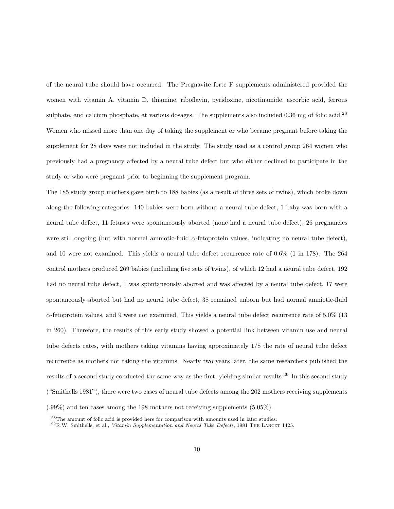of the neural tube should have occurred. The Pregnavite forte F supplements administered provided the women with vitamin A, vitamin D, thiamine, riboflavin, pyridoxine, nicotinamide, ascorbic acid, ferrous sulphate, and calcium phosphate, at various dosages. The supplements also included  $0.36$  mg of folic acid.<sup>28</sup> Women who missed more than one day of taking the supplement or who became pregnant before taking the supplement for 28 days were not included in the study. The study used as a control group 264 women who previously had a pregnancy affected by a neural tube defect but who either declined to participate in the study or who were pregnant prior to beginning the supplement program.

The 185 study group mothers gave birth to 188 babies (as a result of three sets of twins), which broke down along the following categories: 140 babies were born without a neural tube defect, 1 baby was born with a neural tube defect, 11 fetuses were spontaneously aborted (none had a neural tube defect), 26 pregnancies were still ongoing (but with normal amniotic-fluid  $\alpha$ -fetoprotein values, indicating no neural tube defect), and 10 were not examined. This yields a neural tube defect recurrence rate of 0.6% (1 in 178). The 264 control mothers produced 269 babies (including five sets of twins), of which 12 had a neural tube defect, 192 had no neural tube defect, 1 was spontaneously aborted and was affected by a neural tube defect, 17 were spontaneously aborted but had no neural tube defect, 38 remained unborn but had normal amniotic-fluid  $\alpha$ -fetoprotein values, and 9 were not examined. This yields a neural tube defect recurrence rate of 5.0% (13) in 260). Therefore, the results of this early study showed a potential link between vitamin use and neural tube defects rates, with mothers taking vitamins having approximately 1/8 the rate of neural tube defect recurrence as mothers not taking the vitamins. Nearly two years later, the same researchers published the results of a second study conducted the same way as the first, yielding similar results.<sup>29</sup> In this second study ("Smithells 1981"), there were two cases of neural tube defects among the 202 mothers receiving supplements (.99%) and ten cases among the 198 mothers not receiving supplements (5.05%).

<sup>28</sup>The amount of folic acid is provided here for comparison with amounts used in later studies.

 $^{29}$ R.W. Smithells, et al., Vitamin Supplementation and Neural Tube Defects, 1981 THE LANCET 1425.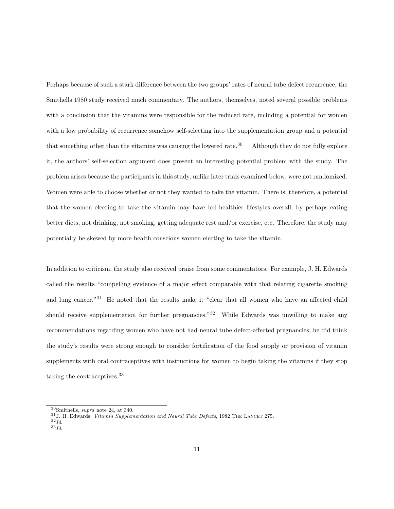Perhaps because of such a stark difference between the two groups' rates of neural tube defect recurrence, the Smithells 1980 study received much commentary. The authors, themselves, noted several possible problems with a conclusion that the vitamins were responsible for the reduced rate, including a potential for women with a low probability of recurrence somehow self-selecting into the supplementation group and a potential that something other than the vitamins was causing the lowered rate.<sup>30</sup> Although they do not fully explore it, the authors' self-selection argument does present an interesting potential problem with the study. The problem arises because the participants in this study, unlike later trials examined below, were not randomized. Women were able to choose whether or not they wanted to take the vitamin. There is, therefore, a potential that the women electing to take the vitamin may have led healthier lifestyles overall, by perhaps eating better diets, not drinking, not smoking, getting adequate rest and/or exercise, etc. Therefore, the study may potentially be skewed by more health conscious women electing to take the vitamin.

In addition to criticism, the study also received praise from some commentators. For example, J. H. Edwards called the results "compelling evidence of a major effect comparable with that relating cigarette smoking and lung cancer."<sup>31</sup> He noted that the results make it "clear that all women who have an affected child should receive supplementation for further pregnancies."<sup>32</sup> While Edwards was unwilling to make any recommendations regarding women who have not had neural tube defect-affected pregnancies, he did think the study's results were strong enough to consider fortification of the food supply or provision of vitamin supplements with oral contraceptives with instructions for women to begin taking the vitamins if they stop taking the contraceptives.<sup>33</sup>

 $^{30}\mathrm{Smithells},$   $supra$  note 24, at 340.

 $^{31}\rm J$ . H. Edwards, Vitamin Supplementation and Neural Tube Defects, 1982 THE LANCET 275.

 $32$   $Id.$ 

 $33$   $Id.$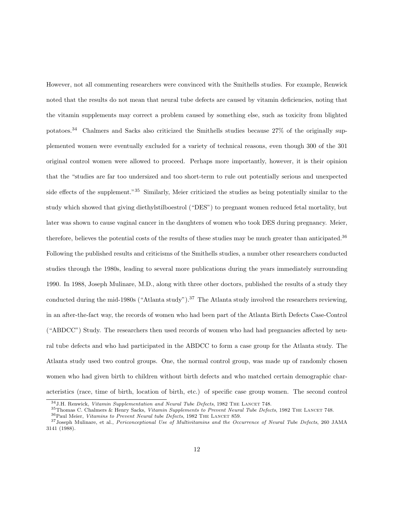However, not all commenting researchers were convinced with the Smithells studies. For example, Renwick noted that the results do not mean that neural tube defects are caused by vitamin deficiencies, noting that the vitamin supplements may correct a problem caused by something else, such as toxicity from blighted potatoes.<sup>34</sup> Chalmers and Sacks also criticized the Smithells studies because 27% of the originally supplemented women were eventually excluded for a variety of technical reasons, even though 300 of the 301 original control women were allowed to proceed. Perhaps more importantly, however, it is their opinion that the "studies are far too undersized and too short-term to rule out potentially serious and unexpected side effects of the supplement."<sup>35</sup> Similarly, Meier criticized the studies as being potentially similar to the study which showed that giving diethylstilboestrol ("DES") to pregnant women reduced fetal mortality, but later was shown to cause vaginal cancer in the daughters of women who took DES during pregnancy. Meier, therefore, believes the potential costs of the results of these studies may be much greater than anticipated.<sup>36</sup> Following the published results and criticisms of the Smithells studies, a number other researchers conducted studies through the 1980s, leading to several more publications during the years immediately surrounding 1990. In 1988, Joseph Mulinare, M.D., along with three other doctors, published the results of a study they conducted during the mid-1980s ("Atlanta study").<sup>37</sup> The Atlanta study involved the researchers reviewing, in an after-the-fact way, the records of women who had been part of the Atlanta Birth Defects Case-Control ("ABDCC") Study. The researchers then used records of women who had had pregnancies affected by neural tube defects and who had participated in the ABDCC to form a case group for the Atlanta study. The Atlanta study used two control groups. One, the normal control group, was made up of randomly chosen women who had given birth to children without birth defects and who matched certain demographic characteristics (race, time of birth, location of birth, etc.) of specific case group women. The second control

 $34$  J.H. Renwick, Vitamin Supplementation and Neural Tube Defects, 1982 THE LANCET 748.

<sup>35</sup>Thomas C. Chalmers & Henry Sacks, Vitamin Supplements to Prevent Neural Tube Defects, 1982 THE LANCET 748.

 $36$ Paul Meier, Vitamins to Prevent Neural tube Defects, 1982 THE LANCET 859.

 $37$ Joseph Mulinare, et al., Periconceptional Use of Multivitamins and the Occurrence of Neural Tube Defects, 260 JAMA 3141 (1988).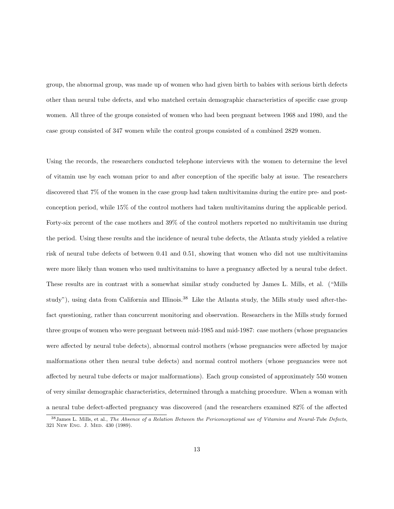group, the abnormal group, was made up of women who had given birth to babies with serious birth defects other than neural tube defects, and who matched certain demographic characteristics of specific case group women. All three of the groups consisted of women who had been pregnant between 1968 and 1980, and the case group consisted of 347 women while the control groups consisted of a combined 2829 women.

Using the records, the researchers conducted telephone interviews with the women to determine the level of vitamin use by each woman prior to and after conception of the specific baby at issue. The researchers discovered that 7% of the women in the case group had taken multivitamins during the entire pre- and postconception period, while 15% of the control mothers had taken multivitamins during the applicable period. Forty-six percent of the case mothers and 39% of the control mothers reported no multivitamin use during the period. Using these results and the incidence of neural tube defects, the Atlanta study yielded a relative risk of neural tube defects of between 0.41 and 0.51, showing that women who did not use multivitamins were more likely than women who used multivitamins to have a pregnancy affected by a neural tube defect. These results are in contrast with a somewhat similar study conducted by James L. Mills, et al. ("Mills study"), using data from California and Illinois.<sup>38</sup> Like the Atlanta study, the Mills study used after-thefact questioning, rather than concurrent monitoring and observation. Researchers in the Mills study formed three groups of women who were pregnant between mid-1985 and mid-1987: case mothers (whose pregnancies were affected by neural tube defects), abnormal control mothers (whose pregnancies were affected by major malformations other then neural tube defects) and normal control mothers (whose pregnancies were not affected by neural tube defects or major malformations). Each group consisted of approximately 550 women of very similar demographic characteristics, determined through a matching procedure. When a woman with a neural tube defect-affected pregnancy was discovered (and the researchers examined 82% of the affected

 $38$  James L. Mills, et al., The Absence of a Relation Between the Periconceptional use of Vitamins and Neural-Tube Defects, 321 New Eng. J. Med. 430 (1989).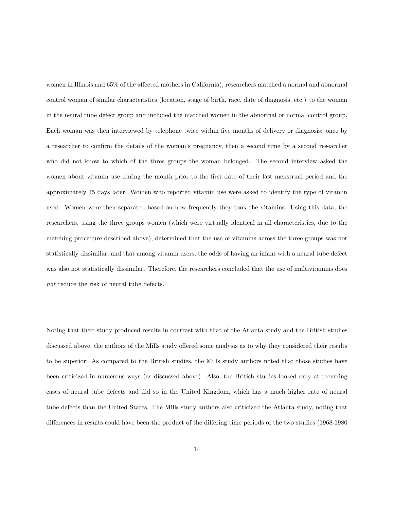women in Illinois and 65% of the affected mothers in California), researchers matched a normal and abnormal control woman of similar characteristics (location, stage of birth, race, date of diagnosis, etc.) to the woman in the neural tube defect group and included the matched women in the abnormal or normal control group. Each woman was then interviewed by telephone twice within five months of delivery or diagnosis: once by a researcher to confirm the details of the woman's pregnancy, then a second time by a second researcher who did not know to which of the three groups the woman belonged. The second interview asked the women about vitamin use during the month prior to the first date of their last menstrual period and the approximately 45 days later. Women who reported vitamin use were asked to identify the type of vitamin used. Women were then separated based on how frequently they took the vitamins. Using this data, the researchers, using the three groups women (which were virtually identical in all characteristics, due to the matching procedure described above), determined that the use of vitamins across the three groups was not statistically dissimilar, and that among vitamin users, the odds of having an infant with a neural tube defect was also not statistically dissimilar. Therefore, the researchers concluded that the use of multivitamins does not reduce the risk of neural tube defects.

Noting that their study produced results in contrast with that of the Atlanta study and the British studies discussed above, the authors of the Mills study offered some analysis as to why they considered their results to be superior. As compared to the British studies, the Mills study authors noted that those studies have been criticized in numerous ways (as discussed above). Also, the British studies looked only at recurring cases of neural tube defects and did so in the United Kingdom, which has a much higher rate of neural tube defects than the United States. The Mills study authors also criticized the Atlanta study, noting that differences in results could have been the product of the differing time periods of the two studies (1968-1980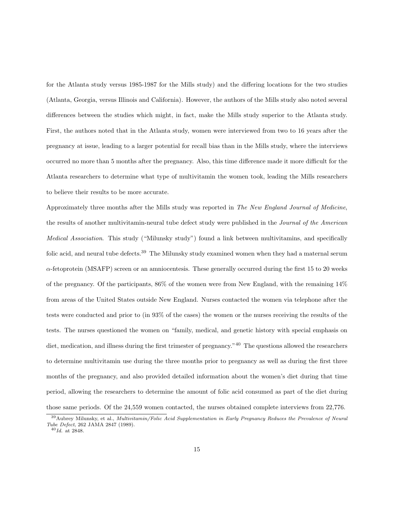for the Atlanta study versus 1985-1987 for the Mills study) and the differing locations for the two studies (Atlanta, Georgia, versus Illinois and California). However, the authors of the Mills study also noted several differences between the studies which might, in fact, make the Mills study superior to the Atlanta study. First, the authors noted that in the Atlanta study, women were interviewed from two to 16 years after the pregnancy at issue, leading to a larger potential for recall bias than in the Mills study, where the interviews occurred no more than 5 months after the pregnancy. Also, this time difference made it more difficult for the Atlanta researchers to determine what type of multivitamin the women took, leading the Mills researchers to believe their results to be more accurate.

Approximately three months after the Mills study was reported in The New England Journal of Medicine, the results of another multivitamin-neural tube defect study were published in the Journal of the American Medical Association. This study ("Milunsky study") found a link between multivitamins, and specifically folic acid, and neural tube defects.<sup>39</sup> The Milunsky study examined women when they had a maternal serum  $\alpha$ -fetoprotein (MSAFP) screen or an amniocentesis. These generally occurred during the first 15 to 20 weeks of the pregnancy. Of the participants, 86% of the women were from New England, with the remaining 14% from areas of the United States outside New England. Nurses contacted the women via telephone after the tests were conducted and prior to (in 93% of the cases) the women or the nurses receiving the results of the tests. The nurses questioned the women on "family, medical, and genetic history with special emphasis on diet, medication, and illness during the first trimester of pregnancy."<sup>40</sup> The questions allowed the researchers to determine multivitamin use during the three months prior to pregnancy as well as during the first three months of the pregnancy, and also provided detailed information about the women's diet during that time period, allowing the researchers to determine the amount of folic acid consumed as part of the diet during those same periods. Of the 24,559 women contacted, the nurses obtained complete interviews from 22,776.

<sup>39</sup>Aubrey Milunsky, et al., Multivitamin/Folic Acid Supplementation in Early Pregnancy Reduces the Prevalence of Neural Tube Defect, 262 JAMA 2847 (1989).

 $40$  Id. at 2848.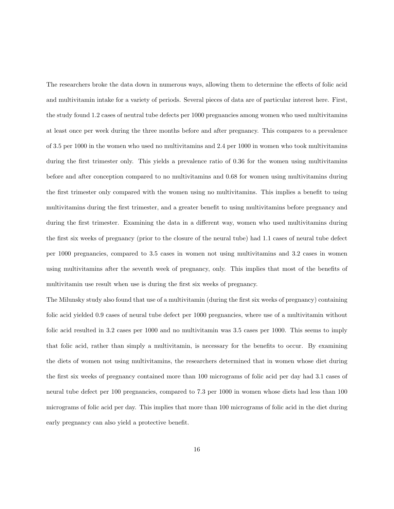The researchers broke the data down in numerous ways, allowing them to determine the effects of folic acid and multivitamin intake for a variety of periods. Several pieces of data are of particular interest here. First, the study found 1.2 cases of neutral tube defects per 1000 pregnancies among women who used multivitamins at least once per week during the three months before and after pregnancy. This compares to a prevalence of 3.5 per 1000 in the women who used no multivitamins and 2.4 per 1000 in women who took multivitamins during the first trimester only. This yields a prevalence ratio of 0.36 for the women using multivitamins before and after conception compared to no multivitamins and 0.68 for women using multivitamins during the first trimester only compared with the women using no multivitamins. This implies a benefit to using multivitamins during the first trimester, and a greater benefit to using multivitamins before pregnancy and during the first trimester. Examining the data in a different way, women who used multivitamins during the first six weeks of pregnancy (prior to the closure of the neural tube) had 1.1 cases of neural tube defect per 1000 pregnancies, compared to 3.5 cases in women not using multivitamins and 3.2 cases in women using multivitamins after the seventh week of pregnancy, only. This implies that most of the benefits of multivitamin use result when use is during the first six weeks of pregnancy.

The Milunsky study also found that use of a multivitamin (during the first six weeks of pregnancy) containing folic acid yielded 0.9 cases of neural tube defect per 1000 pregnancies, where use of a multivitamin without folic acid resulted in 3.2 cases per 1000 and no multivitamin was 3.5 cases per 1000. This seems to imply that folic acid, rather than simply a multivitamin, is necessary for the benefits to occur. By examining the diets of women not using multivitamins, the researchers determined that in women whose diet during the first six weeks of pregnancy contained more than 100 micrograms of folic acid per day had 3.1 cases of neural tube defect per 100 pregnancies, compared to 7.3 per 1000 in women whose diets had less than 100 micrograms of folic acid per day. This implies that more than 100 micrograms of folic acid in the diet during early pregnancy can also yield a protective benefit.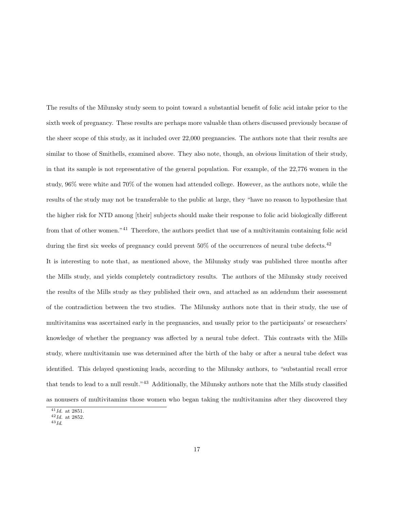The results of the Milunsky study seem to point toward a substantial benefit of folic acid intake prior to the sixth week of pregnancy. These results are perhaps more valuable than others discussed previously because of the sheer scope of this study, as it included over 22,000 pregnancies. The authors note that their results are similar to those of Smithells, examined above. They also note, though, an obvious limitation of their study, in that its sample is not representative of the general population. For example, of the 22,776 women in the study, 96% were white and 70% of the women had attended college. However, as the authors note, while the results of the study may not be transferable to the public at large, they "have no reason to hypothesize that the higher risk for NTD among [their] subjects should make their response to folic acid biologically different from that of other women."<sup>41</sup> Therefore, the authors predict that use of a multivitamin containing folic acid during the first six weeks of pregnancy could prevent  $50\%$  of the occurrences of neural tube defects.<sup>42</sup> It is interesting to note that, as mentioned above, the Milunsky study was published three months after the Mills study, and yields completely contradictory results. The authors of the Milunsky study received the results of the Mills study as they published their own, and attached as an addendum their assessment of the contradiction between the two studies. The Milunsky authors note that in their study, the use of multivitamins was ascertained early in the pregnancies, and usually prior to the participants' or researchers' knowledge of whether the pregnancy was affected by a neural tube defect. This contrasts with the Mills study, where multivitamin use was determined after the birth of the baby or after a neural tube defect was identified. This delayed questioning leads, according to the Milunsky authors, to "substantial recall error that tends to lead to a null result."<sup>43</sup> Additionally, the Milunsky authors note that the Mills study classified as nonusers of multivitamins those women who began taking the multivitamins after they discovered they

 $41$ Id. at 2851.

 $42$ Id. at 2852.

 $43$   $Id$ .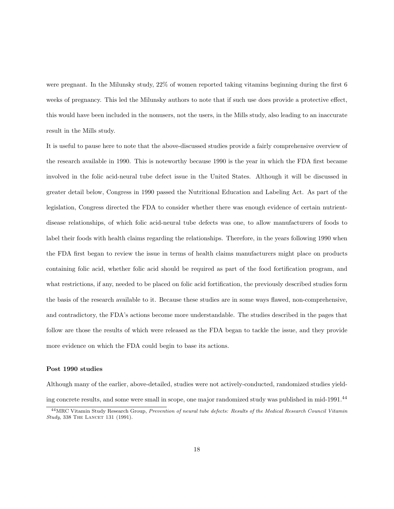were pregnant. In the Milunsky study, 22% of women reported taking vitamins beginning during the first 6 weeks of pregnancy. This led the Milunsky authors to note that if such use does provide a protective effect, this would have been included in the nonusers, not the users, in the Mills study, also leading to an inaccurate result in the Mills study.

It is useful to pause here to note that the above-discussed studies provide a fairly comprehensive overview of the research available in 1990. This is noteworthy because 1990 is the year in which the FDA first became involved in the folic acid-neural tube defect issue in the United States. Although it will be discussed in greater detail below, Congress in 1990 passed the Nutritional Education and Labeling Act. As part of the legislation, Congress directed the FDA to consider whether there was enough evidence of certain nutrientdisease relationships, of which folic acid-neural tube defects was one, to allow manufacturers of foods to label their foods with health claims regarding the relationships. Therefore, in the years following 1990 when the FDA first began to review the issue in terms of health claims manufacturers might place on products containing folic acid, whether folic acid should be required as part of the food fortification program, and what restrictions, if any, needed to be placed on folic acid fortification, the previously described studies form the basis of the research available to it. Because these studies are in some ways flawed, non-comprehensive, and contradictory, the FDA's actions become more understandable. The studies described in the pages that follow are those the results of which were released as the FDA began to tackle the issue, and they provide more evidence on which the FDA could begin to base its actions.

#### Post 1990 studies

Although many of the earlier, above-detailed, studies were not actively-conducted, randomized studies yielding concrete results, and some were small in scope, one major randomized study was published in mid-1991.<sup>44</sup>

<sup>44</sup>MRC Vitamin Study Research Group, Prevention of neural tube defects: Results of the Medical Research Council Vitamin Study, 338 THE LANCET 131 (1991).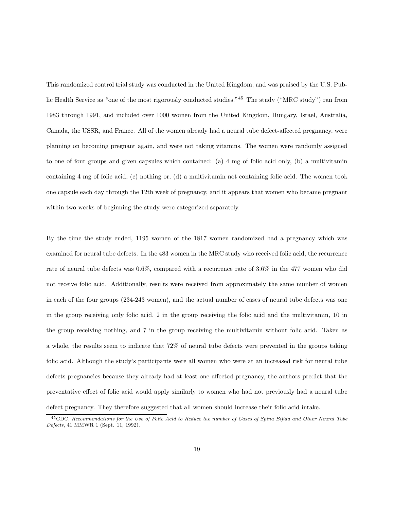This randomized control trial study was conducted in the United Kingdom, and was praised by the U.S. Public Health Service as "one of the most rigorously conducted studies."<sup>45</sup> The study ("MRC study") ran from 1983 through 1991, and included over 1000 women from the United Kingdom, Hungary, Israel, Australia, Canada, the USSR, and France. All of the women already had a neural tube defect-affected pregnancy, were planning on becoming pregnant again, and were not taking vitamins. The women were randomly assigned to one of four groups and given capsules which contained: (a) 4 mg of folic acid only, (b) a multivitamin containing 4 mg of folic acid, (c) nothing or, (d) a multivitamin not containing folic acid. The women took one capsule each day through the 12th week of pregnancy, and it appears that women who became pregnant within two weeks of beginning the study were categorized separately.

By the time the study ended, 1195 women of the 1817 women randomized had a pregnancy which was examined for neural tube defects. In the 483 women in the MRC study who received folic acid, the recurrence rate of neural tube defects was 0.6%, compared with a recurrence rate of 3.6% in the 477 women who did not receive folic acid. Additionally, results were received from approximately the same number of women in each of the four groups (234-243 women), and the actual number of cases of neural tube defects was one in the group receiving only folic acid, 2 in the group receiving the folic acid and the multivitamin, 10 in the group receiving nothing, and 7 in the group receiving the multivitamin without folic acid. Taken as a whole, the results seem to indicate that 72% of neural tube defects were prevented in the groups taking folic acid. Although the study's participants were all women who were at an increased risk for neural tube defects pregnancies because they already had at least one affected pregnancy, the authors predict that the preventative effect of folic acid would apply similarly to women who had not previously had a neural tube defect pregnancy. They therefore suggested that all women should increase their folic acid intake.

<sup>45</sup>CDC, Recommendations for the Use of Folic Acid to Reduce the number of Cases of Spina Bifida and Other Neural Tube Defects, 41 MMWR 1 (Sept. 11, 1992).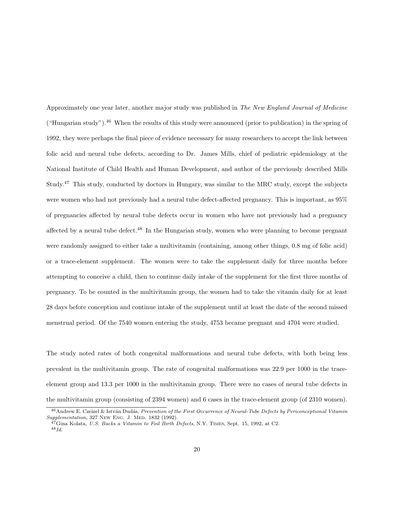Approximately one year later, another major study was published in The New England Journal of Medicine ("Hungarian study").<sup>46</sup> When the results of this study were announced (prior to publication) in the spring of 1992, they were perhaps the final piece of evidence necessary for many researchers to accept the link between folic acid and neural tube defects, according to Dr. James Mills, chief of pediatric epidemiology at the National Institute of Child Health and Human Development, and author of the previously described Mills Study.<sup>47</sup> This study, conducted by doctors in Hungary, was similar to the MRC study, except the subjects were women who had not previously had a neural tube defect-affected pregnancy. This is important, as 95% of pregnancies affected by neural tube defects occur in women who have not previously had a pregnancy affected by a neural tube defect.<sup>48</sup> In the Hungarian study, women who were planning to become pregnant were randomly assigned to either take a multivitamin (containing, among other things, 0.8 mg of folic acid) or a trace-element supplement. The women were to take the supplement daily for three months before attempting to conceive a child, then to continue daily intake of the supplement for the first three months of pregnancy. To be counted in the multivitamin group, the women had to take the vitamin daily for at least 28 days before conception and continue intake of the supplement until at least the date of the second missed menstrual period. Of the 7540 women entering the study, 4753 became pregnant and 4704 were studied.

The study noted rates of both congenital malformations and neural tube defects, with both being less prevalent in the multivitamin group. The rate of congenital malformations was 22.9 per 1000 in the traceelement group and 13.3 per 1000 in the multivitamin group. There were no cases of neural tube defects in the multivitamin group (consisting of 2394 women) and 6 cases in the trace-element group (of 2310 women).

<sup>&</sup>lt;sup>46</sup> Andrew E. Czeizel & István Dudás, Prevention of the First Occurrence of Neural-Tube Defects by Periconceptional Vitamin Supplementation, 327 New Eng. J. Med. 1832 (1992).

 $^{47}$ Gina Kolata, U.S. Backs a Vitamin to Foil Birth Defects, N.Y. TIMES, Sept. 15, 1992, at C2.  $48$  Id.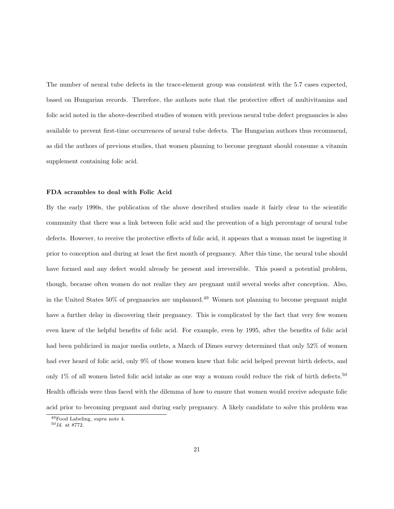The number of neural tube defects in the trace-element group was consistent with the 5.7 cases expected, based on Hungarian records. Therefore, the authors note that the protective effect of multivitamins and folic acid noted in the above-described studies of women with previous neural tube defect pregnancies is also available to prevent first-time occurrences of neural tube defects. The Hungarian authors thus recommend, as did the authors of previous studies, that women planning to become pregnant should consume a vitamin supplement containing folic acid.

#### FDA scrambles to deal with Folic Acid

By the early 1990s, the publication of the above described studies made it fairly clear to the scientific community that there was a link between folic acid and the prevention of a high percentage of neural tube defects. However, to receive the protective effects of folic acid, it appears that a woman must be ingesting it prior to conception and during at least the first month of pregnancy. After this time, the neural tube should have formed and any defect would already be present and irreversible. This posed a potential problem, though, because often women do not realize they are pregnant until several weeks after conception. Also, in the United States 50% of pregnancies are unplanned.<sup>49</sup> Women not planning to become pregnant might have a further delay in discovering their pregnancy. This is complicated by the fact that very few women even knew of the helpful benefits of folic acid. For example, even by 1995, after the benefits of folic acid had been publicized in major media outlets, a March of Dimes survey determined that only 52% of women had ever heard of folic acid, only 9% of those women knew that folic acid helped prevent birth defects, and only 1% of all women listed folic acid intake as one way a woman could reduce the risk of birth defects.<sup>50</sup> Health officials were thus faced with the dilemma of how to ensure that women would receive adequate folic acid prior to becoming pregnant and during early pregnancy. A likely candidate to solve this problem was

<sup>49</sup>Food Labeling, supra note 4.

 $50$  Id. at 8772.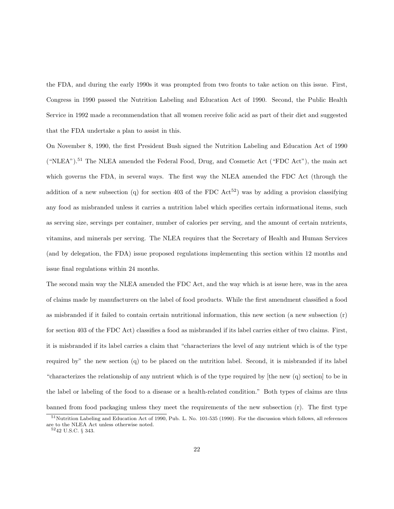the FDA, and during the early 1990s it was prompted from two fronts to take action on this issue. First, Congress in 1990 passed the Nutrition Labeling and Education Act of 1990. Second, the Public Health Service in 1992 made a recommendation that all women receive folic acid as part of their diet and suggested that the FDA undertake a plan to assist in this.

On November 8, 1990, the first President Bush signed the Nutrition Labeling and Education Act of 1990 ("NLEA").<sup>51</sup> The NLEA amended the Federal Food, Drug, and Cosmetic Act ("FDC Act"), the main act which governs the FDA, in several ways. The first way the NLEA amended the FDC Act (through the addition of a new subsection (q) for section 403 of the FDC  $\text{Act}^{52}$ ) was by adding a provision classifying any food as misbranded unless it carries a nutrition label which specifies certain informational items, such as serving size, servings per container, number of calories per serving, and the amount of certain nutrients, vitamins, and minerals per serving. The NLEA requires that the Secretary of Health and Human Services (and by delegation, the FDA) issue proposed regulations implementing this section within 12 months and issue final regulations within 24 months.

The second main way the NLEA amended the FDC Act, and the way which is at issue here, was in the area of claims made by manufacturers on the label of food products. While the first amendment classified a food as misbranded if it failed to contain certain nutritional information, this new section (a new subsection (r) for section 403 of the FDC Act) classifies a food as misbranded if its label carries either of two claims. First, it is misbranded if its label carries a claim that "characterizes the level of any nutrient which is of the type required by" the new section (q) to be placed on the nutrition label. Second, it is misbranded if its label "characterizes the relationship of any nutrient which is of the type required by [the new (q) section] to be in the label or labeling of the food to a disease or a health-related condition." Both types of claims are thus banned from food packaging unless they meet the requirements of the new subsection (r). The first type

<sup>51</sup>Nutrition Labeling and Education Act of 1990, Pub. L. No. 101-535 (1990). For the discussion which follows, all references are to the NLEA Act unless otherwise noted.

 $^{52}42$  U.S.C.  $\S$  343.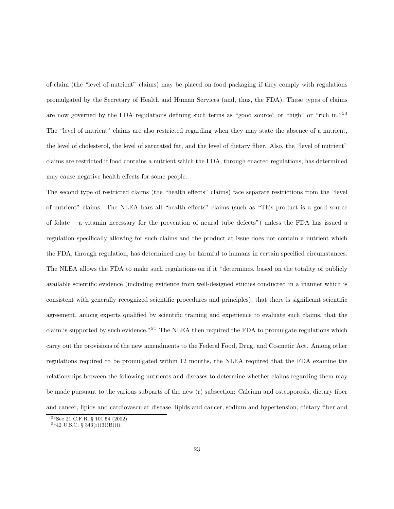of claim (the "level of nutrient" claims) may be placed on food packaging if they comply with regulations promulgated by the Secretary of Health and Human Services (and, thus, the FDA). These types of claims are now governed by the FDA regulations defining such terms as "good source" or "high" or "rich in."<sup>53</sup> The "level of nutrient" claims are also restricted regarding when they may state the absence of a nutrient, the level of cholesterol, the level of saturated fat, and the level of dietary fiber. Also, the "level of nutrient" claims are restricted if food contains a nutrient which the FDA, through enacted regulations, has determined may cause negative health effects for some people.

The second type of restricted claims (the "health effects" claims) face separate restrictions from the "level of nutrient" claims. The NLEA bars all "health effects" claims (such as "This product is a good source of folate – a vitamin necessary for the prevention of neural tube defects") unless the FDA has issued a regulation specifically allowing for such claims and the product at issue does not contain a nutrient which the FDA, through regulation, has determined may be harmful to humans in certain specified circumstances. The NLEA allows the FDA to make such regulations on if it "determines, based on the totality of publicly available scientific evidence (including evidence from well-designed studies conducted in a manner which is consistent with generally recognized scientific procedures and principles), that there is significant scientific agreement, among experts qualified by scientific training and experience to evaluate such claims, that the claim is supported by such evidence."<sup>54</sup> The NLEA then required the FDA to promulgate regulations which carry out the provisions of the new amendments to the Federal Food, Drug, and Cosmetic Act. Among other regulations required to be promulgated within 12 months, the NLEA required that the FDA examine the relationships between the following nutrients and diseases to determine whether claims regarding them may be made pursuant to the various subparts of the new (r) subsection: Calcium and osteoporosis, dietary fiber and cancer, lipids and cardiovascular disease, lipids and cancer, sodium and hypertension, dietary fiber and

<sup>53</sup>See 21 C.F.R. § 101.54 (2002).

 $5442$  U.S.C. §  $343(r)(3)(B)(i)$ .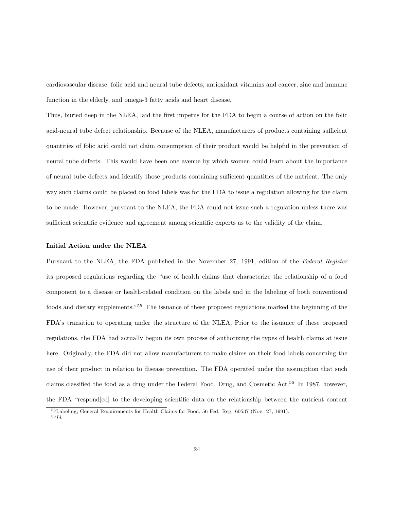cardiovascular disease, folic acid and neural tube defects, antioxidant vitamins and cancer, zinc and immune function in the elderly, and omega-3 fatty acids and heart disease.

Thus, buried deep in the NLEA, laid the first impetus for the FDA to begin a course of action on the folic acid-neural tube defect relationship. Because of the NLEA, manufacturers of products containing sufficient quantities of folic acid could not claim consumption of their product would be helpful in the prevention of neural tube defects. This would have been one avenue by which women could learn about the importance of neural tube defects and identify those products containing sufficient quantities of the nutrient. The only way such claims could be placed on food labels was for the FDA to issue a regulation allowing for the claim to be made. However, pursuant to the NLEA, the FDA could not issue such a regulation unless there was sufficient scientific evidence and agreement among scientific experts as to the validity of the claim.

#### Initial Action under the NLEA

Pursuant to the NLEA, the FDA published in the November 27, 1991, edition of the Federal Register its proposed regulations regarding the "use of health claims that characterize the relationship of a food component to a disease or health-related condition on the labels and in the labeling of both conventional foods and dietary supplements."<sup>55</sup> The issuance of these proposed regulations marked the beginning of the FDA's transition to operating under the structure of the NLEA. Prior to the issuance of these proposed regulations, the FDA had actually begun its own process of authorizing the types of health claims at issue here. Originally, the FDA did not allow manufacturers to make claims on their food labels concerning the use of their product in relation to disease prevention. The FDA operated under the assumption that such claims classified the food as a drug under the Federal Food, Drug, and Cosmetic Act.<sup>56</sup> In 1987, however, the FDA "respond[ed] to the developing scientific data on the relationship between the nutrient content

<sup>55</sup>Labeling; General Requirements for Health Claims for Food, 56 Fed. Reg. 60537 (Nov. 27, 1991).  $^{56} \mathit{Id}.$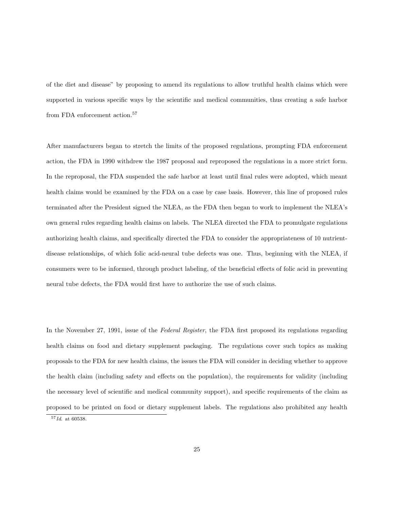of the diet and disease" by proposing to amend its regulations to allow truthful health claims which were supported in various specific ways by the scientific and medical communities, thus creating a safe harbor from FDA enforcement action.<sup>57</sup>

After manufacturers began to stretch the limits of the proposed regulations, prompting FDA enforcement action, the FDA in 1990 withdrew the 1987 proposal and reproposed the regulations in a more strict form. In the reproposal, the FDA suspended the safe harbor at least until final rules were adopted, which meant health claims would be examined by the FDA on a case by case basis. However, this line of proposed rules terminated after the President signed the NLEA, as the FDA then began to work to implement the NLEA's own general rules regarding health claims on labels. The NLEA directed the FDA to promulgate regulations authorizing health claims, and specifically directed the FDA to consider the appropriateness of 10 nutrientdisease relationships, of which folic acid-neural tube defects was one. Thus, beginning with the NLEA, if consumers were to be informed, through product labeling, of the beneficial effects of folic acid in preventing neural tube defects, the FDA would first have to authorize the use of such claims.

In the November 27, 1991, issue of the Federal Register, the FDA first proposed its regulations regarding health claims on food and dietary supplement packaging. The regulations cover such topics as making proposals to the FDA for new health claims, the issues the FDA will consider in deciding whether to approve the health claim (including safety and effects on the population), the requirements for validity (including the necessary level of scientific and medical community support), and specific requirements of the claim as proposed to be printed on food or dietary supplement labels. The regulations also prohibited any health

 $\overline{57}Id.$  at 60538.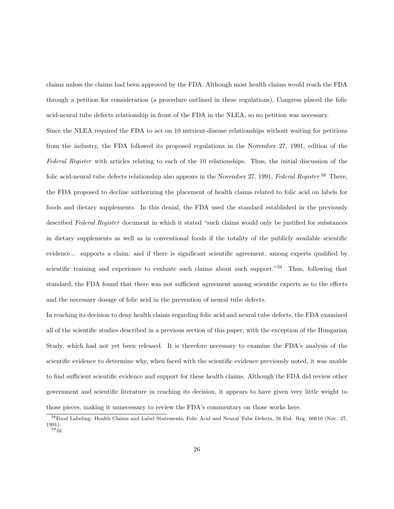claims unless the claims had been approved by the FDA. Although most health claims would reach the FDA through a petition for consideration (a procedure outlined in these regulations), Congress placed the folic acid-neural tube defects relationship in front of the FDA in the NLEA, so no petition was necessary.

Since the NLEA required the FDA to act on 10 nutrient-disease relationships without waiting for petitions from the industry, the FDA followed its proposed regulations in the November 27, 1991, edition of the Federal Register with articles relating to each of the 10 relationships. Thus, the initial discussion of the folic acid-neural tube defects relationship also appears in the November 27, 1991, Federal Register.<sup>58</sup> There, the FDA proposed to decline authorizing the placement of health claims related to folic acid on labels for foods and dietary supplements. In this denial, the FDA used the standard established in the previously described Federal Register document in which it stated "such claims would only be justified for substances in dietary supplements as well as in conventional foods if the totality of the publicly available scientific evidence... supports a claim; and if there is significant scientific agreement, among experts qualified by scientific training and experience to evaluate such claims about such support."<sup>59</sup> Thus, following that standard, the FDA found that there was not sufficient agreement among scientific experts as to the effects and the necessary dosage of folic acid in the prevention of neural tube defects.

In reaching its decision to deny health claims regarding folic acid and neural tube defects, the FDA examined all of the scientific studies described in a previous section of this paper, with the exception of the Hungarian Study, which had not yet been released. It is therefore necessary to examine the FDA's analysis of the scientific evidence to determine why, when faced with the scientific evidence previously noted, it was unable to find sufficient scientific evidence and support for these health claims. Although the FDA did review other government and scientific literature in reaching its decision, it appears to have given very little weight to those pieces, making it unnecessary to review the FDA's commentary on those works here.

<sup>58</sup>Food Labeling: Health Claims and Label Statements; Folic Acid and Neural Tube Defects, 56 Fed. Reg. 60610 (Nov. 27, 1991).  $\overline{59}_{Id.}$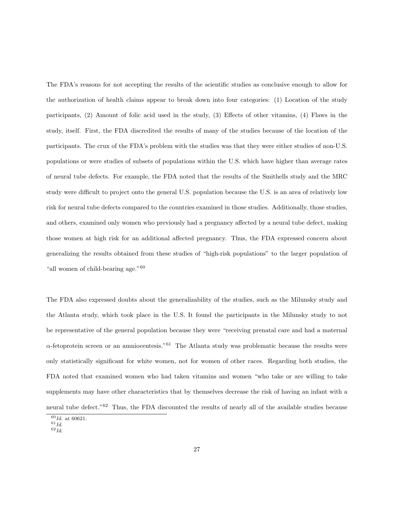The FDA's reasons for not accepting the results of the scientific studies as conclusive enough to allow for the authorization of health claims appear to break down into four categories: (1) Location of the study participants, (2) Amount of folic acid used in the study, (3) Effects of other vitamins, (4) Flaws in the study, itself. First, the FDA discredited the results of many of the studies because of the location of the participants. The crux of the FDA's problem with the studies was that they were either studies of non-U.S. populations or were studies of subsets of populations within the U.S. which have higher than average rates of neural tube defects. For example, the FDA noted that the results of the Smithells study and the MRC study were difficult to project onto the general U.S. population because the U.S. is an area of relatively low risk for neural tube defects compared to the countries examined in those studies. Additionally, those studies, and others, examined only women who previously had a pregnancy affected by a neural tube defect, making those women at high risk for an additional affected pregnancy. Thus, the FDA expressed concern about generalizing the results obtained from these studies of "high-risk populations" to the larger population of "all women of child-bearing age."<sup>60</sup>

The FDA also expressed doubts about the generalizability of the studies, such as the Milunsky study and the Atlanta study, which took place in the U.S. It found the participants in the Milunsky study to not be representative of the general population because they were "receiving prenatal care and had a maternal  $\alpha$ -fetoprotein screen or an amniocentesis."<sup>61</sup> The Atlanta study was problematic because the results were only statistically significant for white women, not for women of other races. Regarding both studies, the FDA noted that examined women who had taken vitamins and women "who take or are willing to take supplements may have other characteristics that by themselves decrease the risk of having an infant with a neural tube defect."<sup>62</sup> Thus, the FDA discounted the results of nearly all of the available studies because

 $60$ *Id.* at 60621.

 $^{61} \mathit{Id}.$  $62\overline{Id}$ .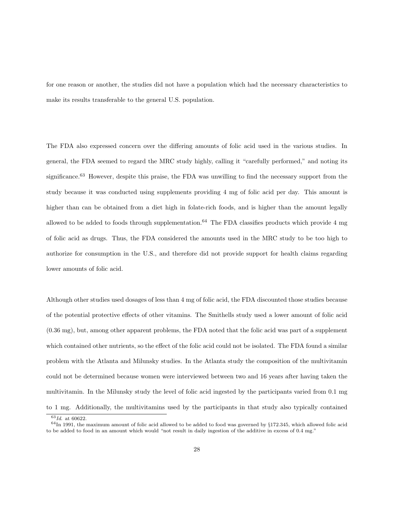for one reason or another, the studies did not have a population which had the necessary characteristics to make its results transferable to the general U.S. population.

The FDA also expressed concern over the differing amounts of folic acid used in the various studies. In general, the FDA seemed to regard the MRC study highly, calling it "carefully performed," and noting its significance.<sup>63</sup> However, despite this praise, the FDA was unwilling to find the necessary support from the study because it was conducted using supplements providing 4 mg of folic acid per day. This amount is higher than can be obtained from a diet high in folate-rich foods, and is higher than the amount legally allowed to be added to foods through supplementation.<sup>64</sup> The FDA classifies products which provide 4 mg of folic acid as drugs. Thus, the FDA considered the amounts used in the MRC study to be too high to authorize for consumption in the U.S., and therefore did not provide support for health claims regarding lower amounts of folic acid.

Although other studies used dosages of less than 4 mg of folic acid, the FDA discounted those studies because of the potential protective effects of other vitamins. The Smithells study used a lower amount of folic acid (0.36 mg), but, among other apparent problems, the FDA noted that the folic acid was part of a supplement which contained other nutrients, so the effect of the folic acid could not be isolated. The FDA found a similar problem with the Atlanta and Milunsky studies. In the Atlanta study the composition of the multivitamin could not be determined because women were interviewed between two and 16 years after having taken the multivitamin. In the Milunsky study the level of folic acid ingested by the participants varied from 0.1 mg to 1 mg. Additionally, the multivitamins used by the participants in that study also typically contained

 $63$ Id. at 60622.

 $64$ In 1991, the maximum amount of folic acid allowed to be added to food was governed by §172.345, which allowed folic acid to be added to food in an amount which would "not result in daily ingestion of the additive in excess of 0.4 mg."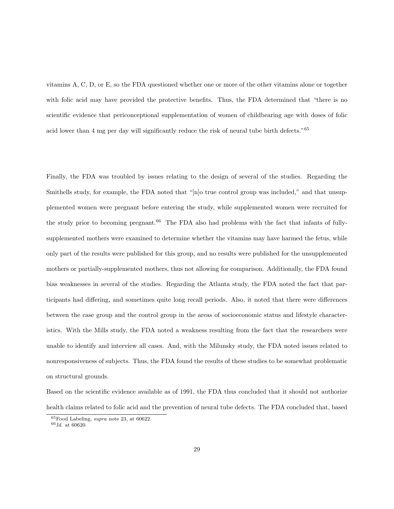vitamins A, C, D, or E, so the FDA questioned whether one or more of the other vitamins alone or together with folic acid may have provided the protective benefits. Thus, the FDA determined that "there is no scientific evidence that periconceptional supplementation of women of childbearing age with doses of folic acid lower than 4 mg per day will significantly reduce the risk of neural tube birth defects."<sup>65</sup>

Finally, the FDA was troubled by issues relating to the design of several of the studies. Regarding the Smithells study, for example, the FDA noted that "[n]o true control group was included," and that unsupplemented women were pregnant before entering the study, while supplemented women were recruited for the study prior to becoming pregnant.<sup>66</sup> The FDA also had problems with the fact that infants of fullysupplemented mothers were examined to determine whether the vitamins may have harmed the fetus, while only part of the results were published for this group, and no results were published for the unsupplemented mothers or partially-supplemented mothers, thus not allowing for comparison. Additionally, the FDA found bias weaknesses in several of the studies. Regarding the Atlanta study, the FDA noted the fact that participants had differing, and sometimes quite long recall periods. Also, it noted that there were differences between the case group and the control group in the areas of socioeconomic status and lifestyle characteristics. With the Mills study, the FDA noted a weakness resulting from the fact that the researchers were unable to identify and interview all cases. And, with the Milunsky study, the FDA noted issues related to nonresponsiveness of subjects. Thus, the FDA found the results of these studies to be somewhat problematic on structural grounds.

Based on the scientific evidence available as of 1991, the FDA thus concluded that it should not authorize health claims related to folic acid and the prevention of neural tube defects. The FDA concluded that, based

<sup>65</sup>Food Labeling, supra note 23, at 60622.

 $66$ Id. at 60620.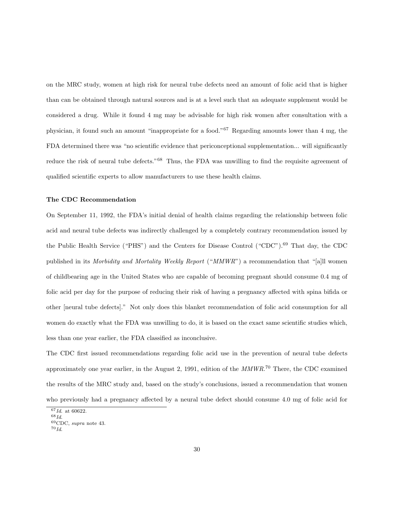on the MRC study, women at high risk for neural tube defects need an amount of folic acid that is higher than can be obtained through natural sources and is at a level such that an adequate supplement would be considered a drug. While it found 4 mg may be advisable for high risk women after consultation with a physician, it found such an amount "inappropriate for a food."<sup>67</sup> Regarding amounts lower than 4 mg, the FDA determined there was "no scientific evidence that periconceptional supplementation... will significantly reduce the risk of neural tube defects."<sup>68</sup> Thus, the FDA was unwilling to find the requisite agreement of qualified scientific experts to allow manufacturers to use these health claims.

#### The CDC Recommendation

On September 11, 1992, the FDA's initial denial of health claims regarding the relationship between folic acid and neural tube defects was indirectly challenged by a completely contrary recommendation issued by the Public Health Service ("PHS") and the Centers for Disease Control ("CDC").<sup>69</sup> That day, the CDC published in its Morbidity and Mortality Weekly Report ("MMWR") a recommendation that "[a]ll women of childbearing age in the United States who are capable of becoming pregnant should consume 0.4 mg of folic acid per day for the purpose of reducing their risk of having a pregnancy affected with spina bifida or other [neural tube defects]." Not only does this blanket recommendation of folic acid consumption for all women do exactly what the FDA was unwilling to do, it is based on the exact same scientific studies which, less than one year earlier, the FDA classified as inconclusive.

The CDC first issued recommendations regarding folic acid use in the prevention of neural tube defects approximately one year earlier, in the August 2, 1991, edition of the  $MMWR$ <sup>70</sup> There, the CDC examined the results of the MRC study and, based on the study's conclusions, issued a recommendation that women who previously had a pregnancy affected by a neural tube defect should consume 4.0 mg of folic acid for

 $^{67}Id.$  at 60622.

 $^{68} \, \mathrm{Id}.$ 

<sup>69</sup>CDC, supra note 43.

 $^{70} \mathit{Id}.$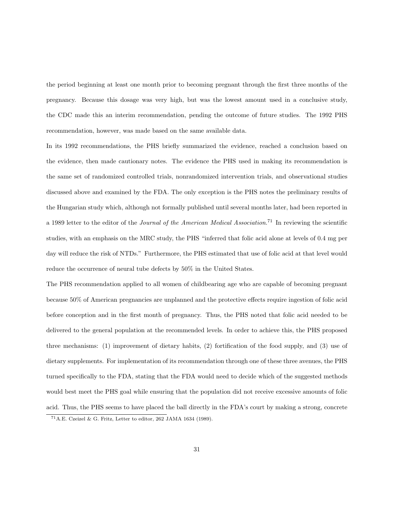the period beginning at least one month prior to becoming pregnant through the first three months of the pregnancy. Because this dosage was very high, but was the lowest amount used in a conclusive study, the CDC made this an interim recommendation, pending the outcome of future studies. The 1992 PHS recommendation, however, was made based on the same available data.

In its 1992 recommendations, the PHS briefly summarized the evidence, reached a conclusion based on the evidence, then made cautionary notes. The evidence the PHS used in making its recommendation is the same set of randomized controlled trials, nonrandomized intervention trials, and observational studies discussed above and examined by the FDA. The only exception is the PHS notes the preliminary results of the Hungarian study which, although not formally published until several months later, had been reported in a 1989 letter to the editor of the *Journal of the American Medical Association*.<sup>71</sup> In reviewing the scientific studies, with an emphasis on the MRC study, the PHS "inferred that folic acid alone at levels of 0.4 mg per day will reduce the risk of NTDs." Furthermore, the PHS estimated that use of folic acid at that level would reduce the occurrence of neural tube defects by 50% in the United States.

The PHS recommendation applied to all women of childbearing age who are capable of becoming pregnant because 50% of American pregnancies are unplanned and the protective effects require ingestion of folic acid before conception and in the first month of pregnancy. Thus, the PHS noted that folic acid needed to be delivered to the general population at the recommended levels. In order to achieve this, the PHS proposed three mechanisms: (1) improvement of dietary habits, (2) fortification of the food supply, and (3) use of dietary supplements. For implementation of its recommendation through one of these three avenues, the PHS turned specifically to the FDA, stating that the FDA would need to decide which of the suggested methods would best meet the PHS goal while ensuring that the population did not receive excessive amounts of folic acid. Thus, the PHS seems to have placed the ball directly in the FDA's court by making a strong, concrete

 $^{71}{\rm A.E.}$  Czeizel & G. Fritz, Letter to editor, 262 JAMA 1634 (1989)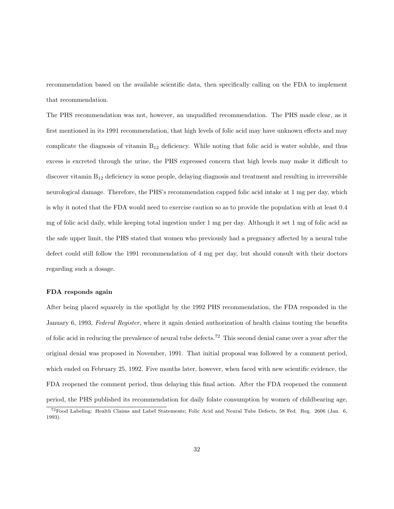recommendation based on the available scientific data, then specifically calling on the FDA to implement that recommendation.

The PHS recommendation was not, however, an unqualified recommendation. The PHS made clear, as it first mentioned in its 1991 recommendation, that high levels of folic acid may have unknown effects and may complicate the diagnosis of vitamin  $B_{12}$  deficiency. While noting that folic acid is water soluble, and thus excess is excreted through the urine, the PHS expressed concern that high levels may make it difficult to discover vitamin B<sup>12</sup> deficiency in some people, delaying diagnosis and treatment and resulting in irreversible neurological damage. Therefore, the PHS's recommendation capped folic acid intake at 1 mg per day, which is why it noted that the FDA would need to exercise caution so as to provide the population with at least 0.4 mg of folic acid daily, while keeping total ingestion under 1 mg per day. Although it set 1 mg of folic acid as the safe upper limit, the PHS stated that women who previously had a pregnancy affected by a neural tube defect could still follow the 1991 recommendation of 4 mg per day, but should consult with their doctors regarding such a dosage.

#### FDA responds again

After being placed squarely in the spotlight by the 1992 PHS recommendation, the FDA responded in the January 6, 1993, Federal Register, where it again denied authorization of health claims touting the benefits of folic acid in reducing the prevalence of neural tube defects.<sup>72</sup> This second denial came over a year after the original denial was proposed in November, 1991. That initial proposal was followed by a comment period, which ended on February 25, 1992. Five months later, however, when faced with new scientific evidence, the FDA reopened the comment period, thus delaying this final action. After the FDA reopened the comment period, the PHS published its recommendation for daily folate consumption by women of childbearing age,

<sup>72</sup>Food Labeling: Health Claims and Label Statements; Folic Acid and Neural Tube Defects, 58 Fed. Reg. 2606 (Jan. 6, 1993).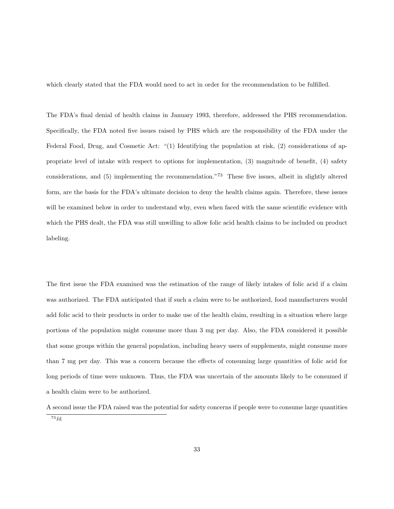which clearly stated that the FDA would need to act in order for the recommendation to be fulfilled.

The FDA's final denial of health claims in January 1993, therefore, addressed the PHS recommendation. Specifically, the FDA noted five issues raised by PHS which are the responsibility of the FDA under the Federal Food, Drug, and Cosmetic Act: "(1) Identifying the population at risk, (2) considerations of appropriate level of intake with respect to options for implementation, (3) magnitude of benefit, (4) safety considerations, and (5) implementing the recommendation."<sup>73</sup> These five issues, albeit in slightly altered form, are the basis for the FDA's ultimate decision to deny the health claims again. Therefore, these issues will be examined below in order to understand why, even when faced with the same scientific evidence with which the PHS dealt, the FDA was still unwilling to allow folic acid health claims to be included on product labeling.

The first issue the FDA examined was the estimation of the range of likely intakes of folic acid if a claim was authorized. The FDA anticipated that if such a claim were to be authorized, food manufacturers would add folic acid to their products in order to make use of the health claim, resulting in a situation where large portions of the population might consume more than 3 mg per day. Also, the FDA considered it possible that some groups within the general population, including heavy users of supplements, might consume more than 7 mg per day. This was a concern because the effects of consuming large quantities of folic acid for long periods of time were unknown. Thus, the FDA was uncertain of the amounts likely to be consumed if a health claim were to be authorized.

A second issue the FDA raised was the potential for safety concerns if people were to consume large quantities  $\overline{73}Id.$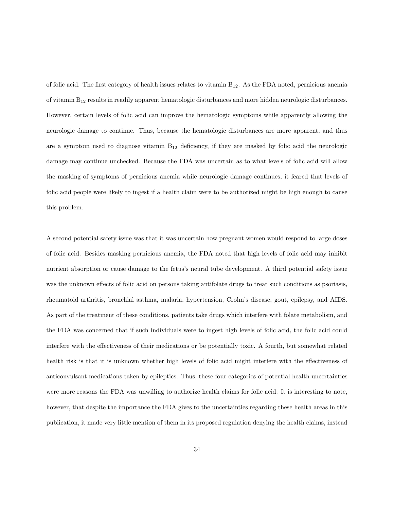of folic acid. The first category of health issues relates to vitamin B12. As the FDA noted, pernicious anemia of vitamin B<sup>12</sup> results in readily apparent hematologic disturbances and more hidden neurologic disturbances. However, certain levels of folic acid can improve the hematologic symptoms while apparently allowing the neurologic damage to continue. Thus, because the hematologic disturbances are more apparent, and thus are a symptom used to diagnose vitamin  $B_{12}$  deficiency, if they are masked by folic acid the neurologic damage may continue unchecked. Because the FDA was uncertain as to what levels of folic acid will allow the masking of symptoms of pernicious anemia while neurologic damage continues, it feared that levels of folic acid people were likely to ingest if a health claim were to be authorized might be high enough to cause this problem.

A second potential safety issue was that it was uncertain how pregnant women would respond to large doses of folic acid. Besides masking pernicious anemia, the FDA noted that high levels of folic acid may inhibit nutrient absorption or cause damage to the fetus's neural tube development. A third potential safety issue was the unknown effects of folic acid on persons taking antifolate drugs to treat such conditions as psoriasis. rheumatoid arthritis, bronchial asthma, malaria, hypertension, Crohn's disease, gout, epilepsy, and AIDS. As part of the treatment of these conditions, patients take drugs which interfere with folate metabolism, and the FDA was concerned that if such individuals were to ingest high levels of folic acid, the folic acid could interfere with the effectiveness of their medications or be potentially toxic. A fourth, but somewhat related health risk is that it is unknown whether high levels of folic acid might interfere with the effectiveness of anticonvulsant medications taken by epileptics. Thus, these four categories of potential health uncertainties were more reasons the FDA was unwilling to authorize health claims for folic acid. It is interesting to note, however, that despite the importance the FDA gives to the uncertainties regarding these health areas in this publication, it made very little mention of them in its proposed regulation denying the health claims, instead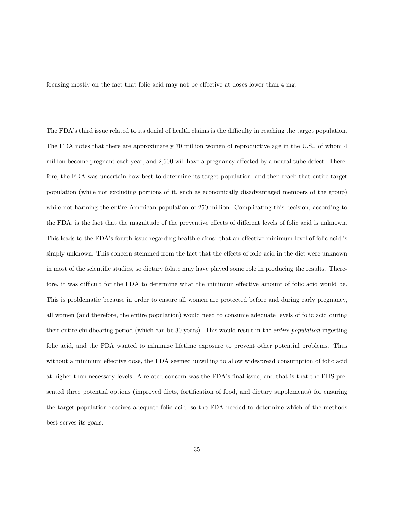focusing mostly on the fact that folic acid may not be effective at doses lower than 4 mg.

The FDA's third issue related to its denial of health claims is the difficulty in reaching the target population. The FDA notes that there are approximately 70 million women of reproductive age in the U.S., of whom 4 million become pregnant each year, and 2,500 will have a pregnancy affected by a neural tube defect. Therefore, the FDA was uncertain how best to determine its target population, and then reach that entire target population (while not excluding portions of it, such as economically disadvantaged members of the group) while not harming the entire American population of 250 million. Complicating this decision, according to the FDA, is the fact that the magnitude of the preventive effects of different levels of folic acid is unknown. This leads to the FDA's fourth issue regarding health claims: that an effective minimum level of folic acid is simply unknown. This concern stemmed from the fact that the effects of folic acid in the diet were unknown in most of the scientific studies, so dietary folate may have played some role in producing the results. Therefore, it was difficult for the FDA to determine what the minimum effective amount of folic acid would be. This is problematic because in order to ensure all women are protected before and during early pregnancy, all women (and therefore, the entire population) would need to consume adequate levels of folic acid during their entire childbearing period (which can be 30 years). This would result in the entire population ingesting folic acid, and the FDA wanted to minimize lifetime exposure to prevent other potential problems. Thus without a minimum effective dose, the FDA seemed unwilling to allow widespread consumption of folic acid at higher than necessary levels. A related concern was the FDA's final issue, and that is that the PHS presented three potential options (improved diets, fortification of food, and dietary supplements) for ensuring the target population receives adequate folic acid, so the FDA needed to determine which of the methods best serves its goals.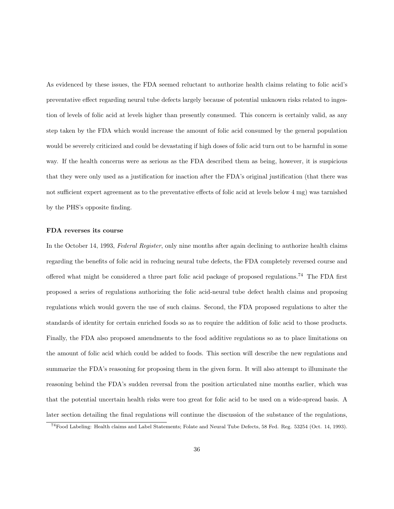As evidenced by these issues, the FDA seemed reluctant to authorize health claims relating to folic acid's preventative effect regarding neural tube defects largely because of potential unknown risks related to ingestion of levels of folic acid at levels higher than presently consumed. This concern is certainly valid, as any step taken by the FDA which would increase the amount of folic acid consumed by the general population would be severely criticized and could be devastating if high doses of folic acid turn out to be harmful in some way. If the health concerns were as serious as the FDA described them as being, however, it is suspicious that they were only used as a justification for inaction after the FDA's original justification (that there was not sufficient expert agreement as to the preventative effects of folic acid at levels below 4 mg) was tarnished by the PHS's opposite finding.

### FDA reverses its course

In the October 14, 1993, Federal Register, only nine months after again declining to authorize health claims regarding the benefits of folic acid in reducing neural tube defects, the FDA completely reversed course and offered what might be considered a three part folic acid package of proposed regulations.<sup>74</sup> The FDA first proposed a series of regulations authorizing the folic acid-neural tube defect health claims and proposing regulations which would govern the use of such claims. Second, the FDA proposed regulations to alter the standards of identity for certain enriched foods so as to require the addition of folic acid to those products. Finally, the FDA also proposed amendments to the food additive regulations so as to place limitations on the amount of folic acid which could be added to foods. This section will describe the new regulations and summarize the FDA's reasoning for proposing them in the given form. It will also attempt to illuminate the reasoning behind the FDA's sudden reversal from the position articulated nine months earlier, which was that the potential uncertain health risks were too great for folic acid to be used on a wide-spread basis. A later section detailing the final regulations will continue the discussion of the substance of the regulations,

<sup>74</sup>Food Labeling: Health claims and Label Statements; Folate and Neural Tube Defects, 58 Fed. Reg. 53254 (Oct. 14, 1993).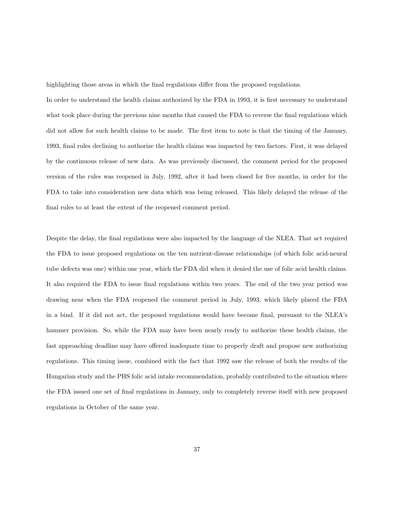highlighting those areas in which the final regulations differ from the proposed regulations.

In order to understand the health claims authorized by the FDA in 1993, it is first necessary to understand what took place during the previous nine months that caused the FDA to reverse the final regulations which did not allow for such health claims to be made. The first item to note is that the timing of the January, 1993, final rules declining to authorize the health claims was impacted by two factors. First, it was delayed by the continuous release of new data. As was previously discussed, the comment period for the proposed version of the rules was reopened in July, 1992, after it had been closed for five months, in order for the FDA to take into consideration new data which was being released. This likely delayed the release of the final rules to at least the extent of the reopened comment period.

Despite the delay, the final regulations were also impacted by the language of the NLEA. That act required the FDA to issue proposed regulations on the ten nutrient-disease relationships (of which folic acid-neural tube defects was one) within one year, which the FDA did when it denied the use of folic acid health claims. It also required the FDA to issue final regulations within two years. The end of the two year period was drawing near when the FDA reopened the comment period in July, 1993, which likely placed the FDA in a bind. If it did not act, the proposed regulations would have become final, pursuant to the NLEA's hammer provision. So, while the FDA may have been nearly ready to authorize these health claims, the fast approaching deadline may have offered inadequate time to properly draft and propose new authorizing regulations. This timing issue, combined with the fact that 1992 saw the release of both the results of the Hungarian study and the PHS folic acid intake recommendation, probably contributed to the situation where the FDA issued one set of final regulations in January, only to completely reverse itself with new proposed regulations in October of the same year.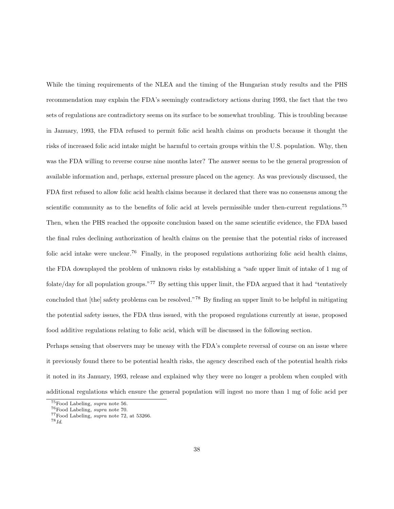While the timing requirements of the NLEA and the timing of the Hungarian study results and the PHS recommendation may explain the FDA's seemingly contradictory actions during 1993, the fact that the two sets of regulations are contradictory seems on its surface to be somewhat troubling. This is troubling because in January, 1993, the FDA refused to permit folic acid health claims on products because it thought the risks of increased folic acid intake might be harmful to certain groups within the U.S. population. Why, then was the FDA willing to reverse course nine months later? The answer seems to be the general progression of available information and, perhaps, external pressure placed on the agency. As was previously discussed, the FDA first refused to allow folic acid health claims because it declared that there was no consensus among the scientific community as to the benefits of folic acid at levels permissible under then-current regulations.<sup>75</sup> Then, when the PHS reached the opposite conclusion based on the same scientific evidence, the FDA based the final rules declining authorization of health claims on the premise that the potential risks of increased folic acid intake were unclear.<sup>76</sup> Finally, in the proposed regulations authorizing folic acid health claims, the FDA downplayed the problem of unknown risks by establishing a "safe upper limit of intake of 1 mg of folate/day for all population groups."<sup>77</sup> By setting this upper limit, the FDA argued that it had "tentatively concluded that [the] safety problems can be resolved."<sup>78</sup> By finding an upper limit to be helpful in mitigating the potential safety issues, the FDA thus issued, with the proposed regulations currently at issue, proposed food additive regulations relating to folic acid, which will be discussed in the following section.

Perhaps sensing that observers may be uneasy with the FDA's complete reversal of course on an issue where it previously found there to be potential health risks, the agency described each of the potential health risks it noted in its January, 1993, release and explained why they were no longer a problem when coupled with additional regulations which ensure the general population will ingest no more than 1 mg of folic acid per

<sup>75</sup>Food Labeling, supra note 56.

<sup>76</sup>Food Labeling, supra note 70.

<sup>77</sup>Food Labeling, supra note 72, at 53266.

 $^{78} \mathit{Id}.$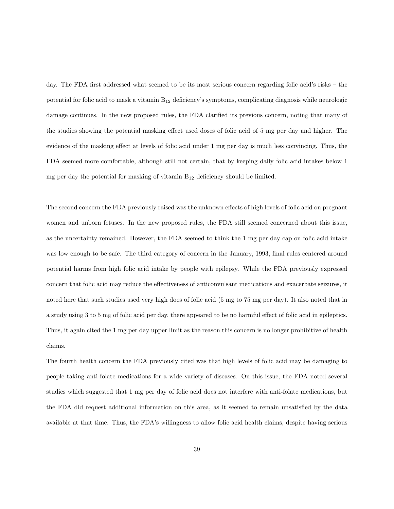day. The FDA first addressed what seemed to be its most serious concern regarding folic acid's risks – the potential for folic acid to mask a vitamin B<sup>12</sup> deficiency's symptoms, complicating diagnosis while neurologic damage continues. In the new proposed rules, the FDA clarified its previous concern, noting that many of the studies showing the potential masking effect used doses of folic acid of 5 mg per day and higher. The evidence of the masking effect at levels of folic acid under 1 mg per day is much less convincing. Thus, the FDA seemed more comfortable, although still not certain, that by keeping daily folic acid intakes below 1 mg per day the potential for masking of vitamin  $B_{12}$  deficiency should be limited.

The second concern the FDA previously raised was the unknown effects of high levels of folic acid on pregnant women and unborn fetuses. In the new proposed rules, the FDA still seemed concerned about this issue, as the uncertainty remained. However, the FDA seemed to think the 1 mg per day cap on folic acid intake was low enough to be safe. The third category of concern in the January, 1993, final rules centered around potential harms from high folic acid intake by people with epilepsy. While the FDA previously expressed concern that folic acid may reduce the effectiveness of anticonvulsant medications and exacerbate seizures, it noted here that such studies used very high does of folic acid (5 mg to 75 mg per day). It also noted that in a study using 3 to 5 mg of folic acid per day, there appeared to be no harmful effect of folic acid in epileptics. Thus, it again cited the 1 mg per day upper limit as the reason this concern is no longer prohibitive of health claims.

The fourth health concern the FDA previously cited was that high levels of folic acid may be damaging to people taking anti-folate medications for a wide variety of diseases. On this issue, the FDA noted several studies which suggested that 1 mg per day of folic acid does not interfere with anti-folate medications, but the FDA did request additional information on this area, as it seemed to remain unsatisfied by the data available at that time. Thus, the FDA's willingness to allow folic acid health claims, despite having serious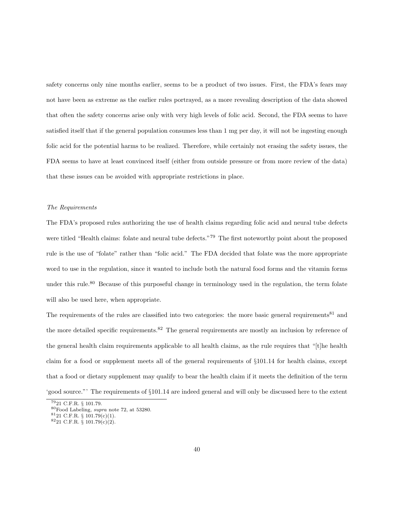safety concerns only nine months earlier, seems to be a product of two issues. First, the FDA's fears may not have been as extreme as the earlier rules portrayed, as a more revealing description of the data showed that often the safety concerns arise only with very high levels of folic acid. Second, the FDA seems to have satisfied itself that if the general population consumes less than 1 mg per day, it will not be ingesting enough folic acid for the potential harms to be realized. Therefore, while certainly not erasing the safety issues, the FDA seems to have at least convinced itself (either from outside pressure or from more review of the data) that these issues can be avoided with appropriate restrictions in place.

# The Requirements

The FDA's proposed rules authorizing the use of health claims regarding folic acid and neural tube defects were titled "Health claims: folate and neural tube defects."<sup>79</sup> The first noteworthy point about the proposed rule is the use of "folate" rather than "folic acid." The FDA decided that folate was the more appropriate word to use in the regulation, since it wanted to include both the natural food forms and the vitamin forms under this rule.<sup>80</sup> Because of this purposeful change in terminology used in the regulation, the term folate will also be used here, when appropriate.

The requirements of the rules are classified into two categories: the more basic general requirements<sup>81</sup> and the more detailed specific requirements.<sup>82</sup> The general requirements are mostly an inclusion by reference of the general health claim requirements applicable to all health claims, as the rule requires that "[t]he health claim for a food or supplement meets all of the general requirements of §101.14 for health claims, except that a food or dietary supplement may qualify to bear the health claim if it meets the definition of the term 'good source."' The requirements of §101.14 are indeed general and will only be discussed here to the extent

 $79$ 21 C.F.R.  $\S$  101.79.

<sup>80</sup>Food Labeling, supra note 72, at 53280.

 $8121$  C.F.R. § 101.79(c)(1).

<sup>82</sup>21 C.F.R. § 101.79(c)(2).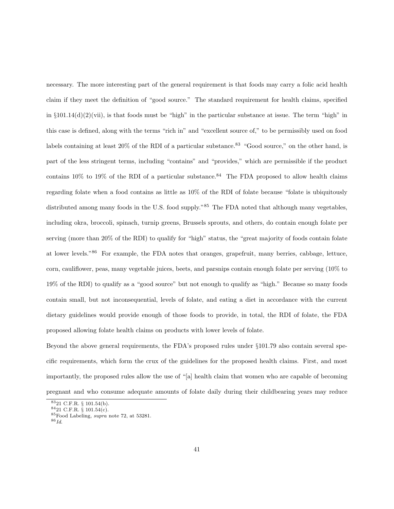necessary. The more interesting part of the general requirement is that foods may carry a folic acid health claim if they meet the definition of "good source." The standard requirement for health claims, specified in  $\S 101.14(d)(2)(vii)$ , is that foods must be "high" in the particular substance at issue. The term "high" in this case is defined, along with the terms "rich in" and "excellent source of," to be permissibly used on food labels containing at least  $20\%$  of the RDI of a particular substance.<sup>83</sup> "Good source," on the other hand, is part of the less stringent terms, including "contains" and "provides," which are permissible if the product contains  $10\%$  to  $19\%$  of the RDI of a particular substance.<sup>84</sup> The FDA proposed to allow health claims regarding folate when a food contains as little as 10% of the RDI of folate because "folate is ubiquitously distributed among many foods in the U.S. food supply."<sup>85</sup> The FDA noted that although many vegetables, including okra, broccoli, spinach, turnip greens, Brussels sprouts, and others, do contain enough folate per serving (more than 20% of the RDI) to qualify for "high" status, the "great majority of foods contain folate at lower levels."<sup>86</sup> For example, the FDA notes that oranges, grapefruit, many berries, cabbage, lettuce, corn, cauliflower, peas, many vegetable juices, beets, and parsnips contain enough folate per serving (10% to 19% of the RDI) to qualify as a "good source" but not enough to qualify as "high." Because so many foods contain small, but not inconsequential, levels of folate, and eating a diet in accordance with the current dietary guidelines would provide enough of those foods to provide, in total, the RDI of folate, the FDA proposed allowing folate health claims on products with lower levels of folate.

Beyond the above general requirements, the FDA's proposed rules under §101.79 also contain several specific requirements, which form the crux of the guidelines for the proposed health claims. First, and most importantly, the proposed rules allow the use of "[a] health claim that women who are capable of becoming pregnant and who consume adequate amounts of folate daily during their childbearing years may reduce

<sup>83</sup>21 C.F.R. § 101.54(b).

 $8421$  C.F.R. § 101.54(c).

<sup>85</sup>Food Labeling, supra note 72, at 53281.

 $^{86} \mathit{Id}.$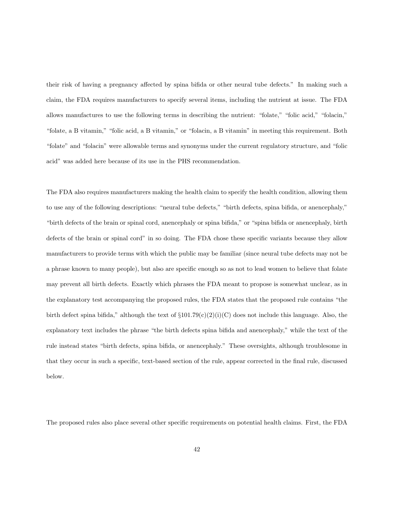their risk of having a pregnancy affected by spina bifida or other neural tube defects." In making such a claim, the FDA requires manufacturers to specify several items, including the nutrient at issue. The FDA allows manufactures to use the following terms in describing the nutrient: "folate," "folic acid," "folacin," "folate, a B vitamin," "folic acid, a B vitamin," or "folacin, a B vitamin" in meeting this requirement. Both "folate" and "folacin" were allowable terms and synonyms under the current regulatory structure, and "folic acid" was added here because of its use in the PHS recommendation.

The FDA also requires manufacturers making the health claim to specify the health condition, allowing them to use any of the following descriptions: "neural tube defects," "birth defects, spina bifida, or anencephaly," "birth defects of the brain or spinal cord, anencephaly or spina bifida," or "spina bifida or anencephaly, birth defects of the brain or spinal cord" in so doing. The FDA chose these specific variants because they allow manufacturers to provide terms with which the public may be familiar (since neural tube defects may not be a phrase known to many people), but also are specific enough so as not to lead women to believe that folate may prevent all birth defects. Exactly which phrases the FDA meant to propose is somewhat unclear, as in the explanatory test accompanying the proposed rules, the FDA states that the proposed rule contains "the birth defect spina bifida," although the text of  $\S101.79(c)(2)(i)(C)$  does not include this language. Also, the explanatory text includes the phrase "the birth defects spina bifida and anencephaly," while the text of the rule instead states "birth defects, spina bifida, or anencephaly." These oversights, although troublesome in that they occur in such a specific, text-based section of the rule, appear corrected in the final rule, discussed below.

The proposed rules also place several other specific requirements on potential health claims. First, the FDA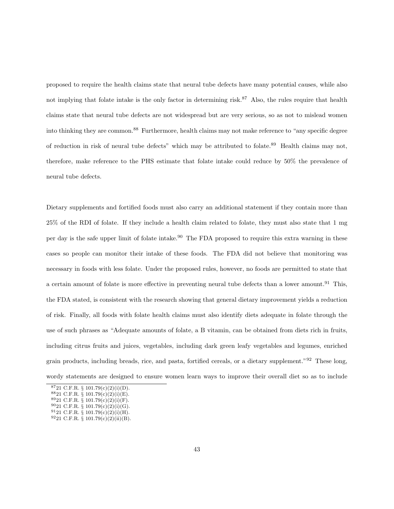proposed to require the health claims state that neural tube defects have many potential causes, while also not implying that folate intake is the only factor in determining risk.<sup>87</sup> Also, the rules require that health claims state that neural tube defects are not widespread but are very serious, so as not to mislead women into thinking they are common.<sup>88</sup> Furthermore, health claims may not make reference to "any specific degree of reduction in risk of neural tube defects" which may be attributed to folate.<sup>89</sup> Health claims may not, therefore, make reference to the PHS estimate that folate intake could reduce by 50% the prevalence of neural tube defects.

Dietary supplements and fortified foods must also carry an additional statement if they contain more than 25% of the RDI of folate. If they include a health claim related to folate, they must also state that 1 mg per day is the safe upper limit of folate intake.<sup>90</sup> The FDA proposed to require this extra warning in these cases so people can monitor their intake of these foods. The FDA did not believe that monitoring was necessary in foods with less folate. Under the proposed rules, however, no foods are permitted to state that a certain amount of folate is more effective in preventing neural tube defects than a lower amount.<sup>91</sup> This, the FDA stated, is consistent with the research showing that general dietary improvement yields a reduction of risk. Finally, all foods with folate health claims must also identify diets adequate in folate through the use of such phrases as "Adequate amounts of folate, a B vitamin, can be obtained from diets rich in fruits, including citrus fruits and juices, vegetables, including dark green leafy vegetables and legumes, enriched grain products, including breads, rice, and pasta, fortified cereals, or a dietary supplement."<sup>92</sup> These long, wordy statements are designed to ensure women learn ways to improve their overall diet so as to include

 $8721$  C.F.R. § 101.79(c)(2)(i)(D).

 $8821$  C.F.R. § 101.79(c)(2)(i)(E).

 $8921$  C.F.R. § 101.79(c)(2)(i)(F).  $9021$  C.F.R. § 101.79(c)(2)(i)(G).

 $9121$  C.F.R. § 101.79(c)(2)(i)(H).

 $9221$  C.F.R. § 101.79(c)(2)(ii)(B).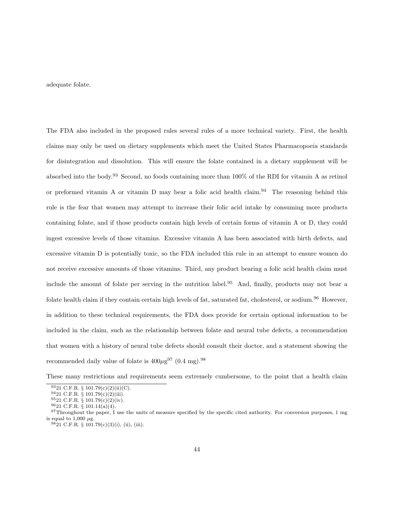adequate folate.

The FDA also included in the proposed rules several rules of a more technical variety. First, the health claims may only be used on dietary supplements which meet the United States Pharmacopoeia standards for disintegration and dissolution. This will ensure the folate contained in a dietary supplement will be absorbed into the body.<sup>93</sup> Second, no foods containing more than 100% of the RDI for vitamin A as retinol or preformed vitamin A or vitamin D may bear a folic acid health claim.<sup>94</sup> The reasoning behind this rule is the fear that women may attempt to increase their folic acid intake by consuming more products containing folate, and if those products contain high levels of certain forms of vitamin A or D, they could ingest excessive levels of those vitamins. Excessive vitamin A has been associated with birth defects, and excessive vitamin D is potentially toxic, so the FDA included this rule in an attempt to ensure women do not receive excessive amounts of those vitamins. Third, any product bearing a folic acid health claim must include the amount of folate per serving in the nutrition label.<sup>95</sup> And, finally, products may not bear a folate health claim if they contain certain high levels of fat, saturated fat, cholesterol, or sodium.<sup>96</sup> However, in addition to these technical requirements, the FDA does provide for certain optional information to be included in the claim, such as the relationship between folate and neural tube defects, a recommendation that women with a history of neural tube defects should consult their doctor, and a statement showing the recommended daily value of folate is  $400\mu g^{97}$  (0.4 mg).<sup>98</sup>

These many restrictions and requirements seem extremely cumbersome, to the point that a health claim

 $93$ <sub>21</sub> C.F.R. § 101.79(c)(2)(ii)(C).

<sup>94</sup>21 C.F.R. § 101.79(c)(2)(iii).

<sup>95</sup>21 C.F.R. § 101.79(c)(2)(iv).

 $^{96}21$  C.F.R.  $\S$  101.14(a)(4).

 $97$ Throughout the paper, I use the units of measure specified by the specific cited authority. For conversion purposes, 1 mg is equal to 1,000  $\mu$ g.

 $9821$  C.F.R. § 101.79(c)(3)(i), (ii), (iii).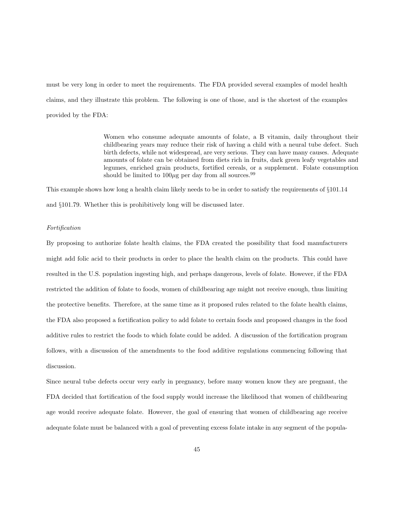must be very long in order to meet the requirements. The FDA provided several examples of model health claims, and they illustrate this problem. The following is one of those, and is the shortest of the examples provided by the FDA:

> Women who consume adequate amounts of folate, a B vitamin, daily throughout their childbearing years may reduce their risk of having a child with a neural tube defect. Such birth defects, while not widespread, are very serious. They can have many causes. Adequate amounts of folate can be obtained from diets rich in fruits, dark green leafy vegetables and legumes, enriched grain products, fortified cereals, or a supplement. Folate consumption should be limited to  $100\mu$ g per day from all sources.<sup>99</sup>

This example shows how long a health claim likely needs to be in order to satisfy the requirements of §101.14 and §101.79. Whether this is prohibitively long will be discussed later.

# Fortification

By proposing to authorize folate health claims, the FDA created the possibility that food manufacturers might add folic acid to their products in order to place the health claim on the products. This could have resulted in the U.S. population ingesting high, and perhaps dangerous, levels of folate. However, if the FDA restricted the addition of folate to foods, women of childbearing age might not receive enough, thus limiting the protective benefits. Therefore, at the same time as it proposed rules related to the folate health claims, the FDA also proposed a fortification policy to add folate to certain foods and proposed changes in the food additive rules to restrict the foods to which folate could be added. A discussion of the fortification program follows, with a discussion of the amendments to the food additive regulations commencing following that discussion.

Since neural tube defects occur very early in pregnancy, before many women know they are pregnant, the FDA decided that fortification of the food supply would increase the likelihood that women of childbearing age would receive adequate folate. However, the goal of ensuring that women of childbearing age receive adequate folate must be balanced with a goal of preventing excess folate intake in any segment of the popula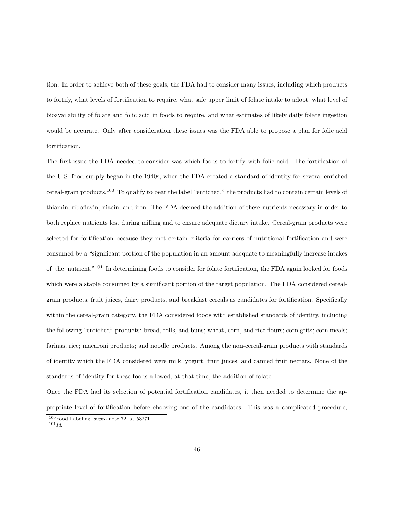tion. In order to achieve both of these goals, the FDA had to consider many issues, including which products to fortify, what levels of fortification to require, what safe upper limit of folate intake to adopt, what level of bioavailability of folate and folic acid in foods to require, and what estimates of likely daily folate ingestion would be accurate. Only after consideration these issues was the FDA able to propose a plan for folic acid fortification.

The first issue the FDA needed to consider was which foods to fortify with folic acid. The fortification of the U.S. food supply began in the 1940s, when the FDA created a standard of identity for several enriched cereal-grain products.<sup>100</sup> To qualify to bear the label "enriched," the products had to contain certain levels of thiamin, riboflavin, niacin, and iron. The FDA deemed the addition of these nutrients necessary in order to both replace nutrients lost during milling and to ensure adequate dietary intake. Cereal-grain products were selected for fortification because they met certain criteria for carriers of nutritional fortification and were consumed by a "significant portion of the population in an amount adequate to meaningfully increase intakes of [the] nutrient."<sup>101</sup> In determining foods to consider for folate fortification, the FDA again looked for foods which were a staple consumed by a significant portion of the target population. The FDA considered cerealgrain products, fruit juices, dairy products, and breakfast cereals as candidates for fortification. Specifically within the cereal-grain category, the FDA considered foods with established standards of identity, including the following "enriched" products: bread, rolls, and buns; wheat, corn, and rice flours; corn grits; corn meals; farinas; rice; macaroni products; and noodle products. Among the non-cereal-grain products with standards of identity which the FDA considered were milk, yogurt, fruit juices, and canned fruit nectars. None of the standards of identity for these foods allowed, at that time, the addition of folate.

Once the FDA had its selection of potential fortification candidates, it then needed to determine the appropriate level of fortification before choosing one of the candidates. This was a complicated procedure,

 $100$  Food Labeling, supra note 72, at 53271.  $101 \, Id.$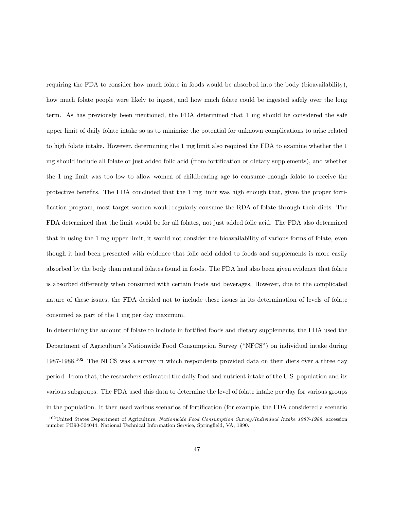requiring the FDA to consider how much folate in foods would be absorbed into the body (bioavailability), how much folate people were likely to ingest, and how much folate could be ingested safely over the long term. As has previously been mentioned, the FDA determined that 1 mg should be considered the safe upper limit of daily folate intake so as to minimize the potential for unknown complications to arise related to high folate intake. However, determining the 1 mg limit also required the FDA to examine whether the 1 mg should include all folate or just added folic acid (from fortification or dietary supplements), and whether the 1 mg limit was too low to allow women of childbearing age to consume enough folate to receive the protective benefits. The FDA concluded that the 1 mg limit was high enough that, given the proper fortification program, most target women would regularly consume the RDA of folate through their diets. The FDA determined that the limit would be for all folates, not just added folic acid. The FDA also determined that in using the 1 mg upper limit, it would not consider the bioavailability of various forms of folate, even though it had been presented with evidence that folic acid added to foods and supplements is more easily absorbed by the body than natural folates found in foods. The FDA had also been given evidence that folate is absorbed differently when consumed with certain foods and beverages. However, due to the complicated nature of these issues, the FDA decided not to include these issues in its determination of levels of folate consumed as part of the 1 mg per day maximum.

In determining the amount of folate to include in fortified foods and dietary supplements, the FDA used the Department of Agriculture's Nationwide Food Consumption Survey ("NFCS") on individual intake during 1987-1988.<sup>102</sup> The NFCS was a survey in which respondents provided data on their diets over a three day period. From that, the researchers estimated the daily food and nutrient intake of the U.S. population and its various subgroups. The FDA used this data to determine the level of folate intake per day for various groups in the population. It then used various scenarios of fortification (for example, the FDA considered a scenario

 $102$ United States Department of Agriculture, Nationwide Food Consumption Survey/Individual Intake 1987-1988, accession number PB90-504044, National Technical Information Service, Springfield, VA, 1990.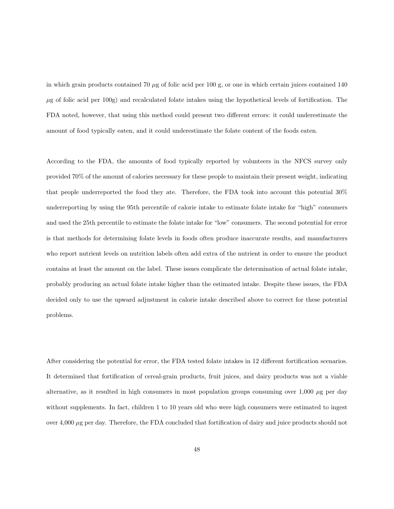in which grain products contained 70  $\mu$ g of folic acid per 100 g, or one in which certain juices contained 140  $\mu$ g of folic acid per 100g) and recalculated folate intakes using the hypothetical levels of fortification. The FDA noted, however, that using this method could present two different errors: it could underestimate the amount of food typically eaten, and it could underestimate the folate content of the foods eaten.

According to the FDA, the amounts of food typically reported by volunteers in the NFCS survey only provided 70% of the amount of calories necessary for these people to maintain their present weight, indicating that people underreported the food they ate. Therefore, the FDA took into account this potential 30% underreporting by using the 95th percentile of calorie intake to estimate folate intake for "high" consumers and used the 25th percentile to estimate the folate intake for "low" consumers. The second potential for error is that methods for determining folate levels in foods often produce inaccurate results, and manufacturers who report nutrient levels on nutrition labels often add extra of the nutrient in order to ensure the product contains at least the amount on the label. These issues complicate the determination of actual folate intake, probably producing an actual folate intake higher than the estimated intake. Despite these issues, the FDA decided only to use the upward adjustment in calorie intake described above to correct for these potential problems.

After considering the potential for error, the FDA tested folate intakes in 12 different fortification scenarios. It determined that fortification of cereal-grain products, fruit juices, and dairy products was not a viable alternative, as it resulted in high consumers in most population groups consuming over  $1,000 \mu$ g per day without supplements. In fact, children 1 to 10 years old who were high consumers were estimated to ingest over 4,000 µg per day. Therefore, the FDA concluded that fortification of dairy and juice products should not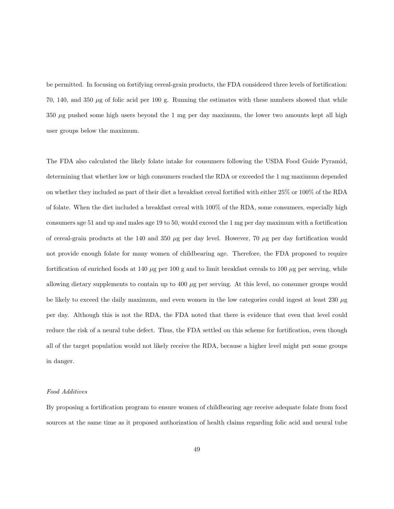be permitted. In focusing on fortifying cereal-grain products, the FDA considered three levels of fortification: 70, 140, and 350  $\mu$ g of folic acid per 100 g. Running the estimates with these numbers showed that while  $350 \mu$ g pushed some high users beyond the 1 mg per day maximum, the lower two amounts kept all high user groups below the maximum.

The FDA also calculated the likely folate intake for consumers following the USDA Food Guide Pyramid, determining that whether low or high consumers reached the RDA or exceeded the 1 mg maximum depended on whether they included as part of their diet a breakfast cereal fortified with either 25% or 100% of the RDA of folate. When the diet included a breakfast cereal with 100% of the RDA, some consumers, especially high consumers age 51 and up and males age 19 to 50, would exceed the 1 mg per day maximum with a fortification of cereal-grain products at the 140 and 350  $\mu$ g per day level. However, 70  $\mu$ g per day fortification would not provide enough folate for many women of childbearing age. Therefore, the FDA proposed to require fortification of enriched foods at 140  $\mu$ g per 100 g and to limit breakfast cereals to 100  $\mu$ g per serving, while allowing dietary supplements to contain up to  $400 \mu$ g per serving. At this level, no consumer groups would be likely to exceed the daily maximum, and even women in the low categories could ingest at least  $230 \mu g$ per day. Although this is not the RDA, the FDA noted that there is evidence that even that level could reduce the risk of a neural tube defect. Thus, the FDA settled on this scheme for fortification, even though all of the target population would not likely receive the RDA, because a higher level might put some groups in danger.

## Food Additives

By proposing a fortification program to ensure women of childbearing age receive adequate folate from food sources at the same time as it proposed authorization of health claims regarding folic acid and neural tube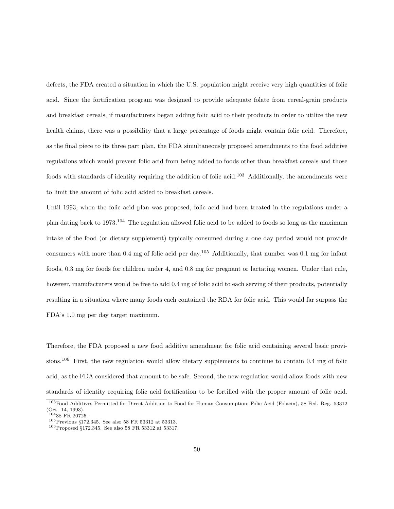defects, the FDA created a situation in which the U.S. population might receive very high quantities of folic acid. Since the fortification program was designed to provide adequate folate from cereal-grain products and breakfast cereals, if manufacturers began adding folic acid to their products in order to utilize the new health claims, there was a possibility that a large percentage of foods might contain folic acid. Therefore, as the final piece to its three part plan, the FDA simultaneously proposed amendments to the food additive regulations which would prevent folic acid from being added to foods other than breakfast cereals and those foods with standards of identity requiring the addition of folic acid.<sup>103</sup> Additionally, the amendments were to limit the amount of folic acid added to breakfast cereals.

Until 1993, when the folic acid plan was proposed, folic acid had been treated in the regulations under a plan dating back to 1973.<sup>104</sup> The regulation allowed folic acid to be added to foods so long as the maximum intake of the food (or dietary supplement) typically consumed during a one day period would not provide consumers with more than 0.4 mg of folic acid per day.<sup>105</sup> Additionally, that number was 0.1 mg for infant foods, 0.3 mg for foods for children under 4, and 0.8 mg for pregnant or lactating women. Under that rule, however, manufacturers would be free to add  $0.4 \text{ mg}$  of folic acid to each serving of their products, potentially resulting in a situation where many foods each contained the RDA for folic acid. This would far surpass the FDA's 1.0 mg per day target maximum.

Therefore, the FDA proposed a new food additive amendment for folic acid containing several basic provisions.<sup>106</sup> First, the new regulation would allow dietary supplements to continue to contain 0.4 mg of folic acid, as the FDA considered that amount to be safe. Second, the new regulation would allow foods with new standards of identity requiring folic acid fortification to be fortified with the proper amount of folic acid.

<sup>103</sup>Food Additives Permitted for Direct Addition to Food for Human Consumption; Folic Acid (Folacin), 58 Fed. Reg. 53312 (Oct. 14, 1993).

<sup>104</sup>38 FR 20725.

 $^{105}\rm{Previous}$   $\S 172.345.$  See also 58 FR 53312 at 53313.

<sup>106</sup>Proposed §172.345. See also 58 FR 53312 at 53317.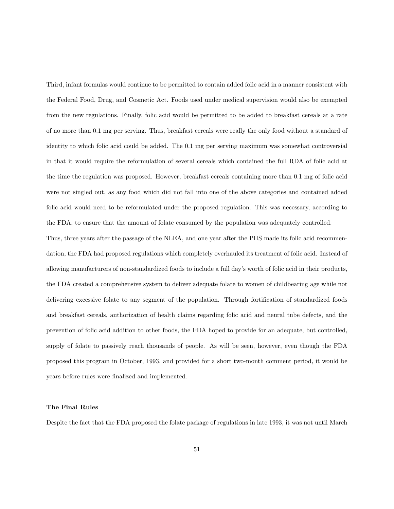Third, infant formulas would continue to be permitted to contain added folic acid in a manner consistent with the Federal Food, Drug, and Cosmetic Act. Foods used under medical supervision would also be exempted from the new regulations. Finally, folic acid would be permitted to be added to breakfast cereals at a rate of no more than 0.1 mg per serving. Thus, breakfast cereals were really the only food without a standard of identity to which folic acid could be added. The 0.1 mg per serving maximum was somewhat controversial in that it would require the reformulation of several cereals which contained the full RDA of folic acid at the time the regulation was proposed. However, breakfast cereals containing more than 0.1 mg of folic acid were not singled out, as any food which did not fall into one of the above categories and contained added folic acid would need to be reformulated under the proposed regulation. This was necessary, according to the FDA, to ensure that the amount of folate consumed by the population was adequately controlled.

Thus, three years after the passage of the NLEA, and one year after the PHS made its folic acid recommendation, the FDA had proposed regulations which completely overhauled its treatment of folic acid. Instead of allowing manufacturers of non-standardized foods to include a full day's worth of folic acid in their products, the FDA created a comprehensive system to deliver adequate folate to women of childbearing age while not delivering excessive folate to any segment of the population. Through fortification of standardized foods and breakfast cereals, authorization of health claims regarding folic acid and neural tube defects, and the prevention of folic acid addition to other foods, the FDA hoped to provide for an adequate, but controlled, supply of folate to passively reach thousands of people. As will be seen, however, even though the FDA proposed this program in October, 1993, and provided for a short two-month comment period, it would be years before rules were finalized and implemented.

## The Final Rules

Despite the fact that the FDA proposed the folate package of regulations in late 1993, it was not until March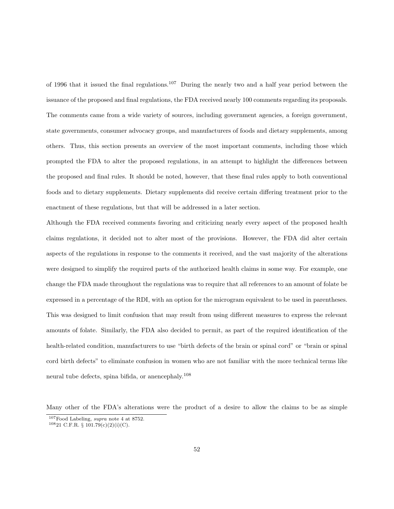of 1996 that it issued the final regulations.<sup>107</sup> During the nearly two and a half year period between the issuance of the proposed and final regulations, the FDA received nearly 100 comments regarding its proposals. The comments came from a wide variety of sources, including government agencies, a foreign government, state governments, consumer advocacy groups, and manufacturers of foods and dietary supplements, among others. Thus, this section presents an overview of the most important comments, including those which prompted the FDA to alter the proposed regulations, in an attempt to highlight the differences between the proposed and final rules. It should be noted, however, that these final rules apply to both conventional foods and to dietary supplements. Dietary supplements did receive certain differing treatment prior to the enactment of these regulations, but that will be addressed in a later section.

Although the FDA received comments favoring and criticizing nearly every aspect of the proposed health claims regulations, it decided not to alter most of the provisions. However, the FDA did alter certain aspects of the regulations in response to the comments it received, and the vast majority of the alterations were designed to simplify the required parts of the authorized health claims in some way. For example, one change the FDA made throughout the regulations was to require that all references to an amount of folate be expressed in a percentage of the RDI, with an option for the microgram equivalent to be used in parentheses. This was designed to limit confusion that may result from using different measures to express the relevant amounts of folate. Similarly, the FDA also decided to permit, as part of the required identification of the health-related condition, manufacturers to use "birth defects of the brain or spinal cord" or "brain or spinal cord birth defects" to eliminate confusion in women who are not familiar with the more technical terms like neural tube defects, spina bifida, or anencephaly.<sup>108</sup>

Many other of the FDA's alterations were the product of a desire to allow the claims to be as simple

<sup>107</sup>Food Labeling, supra note 4 at 8752.

 $10821$  C.F.R. §  $101.79(c)(2)(i)(C)$ .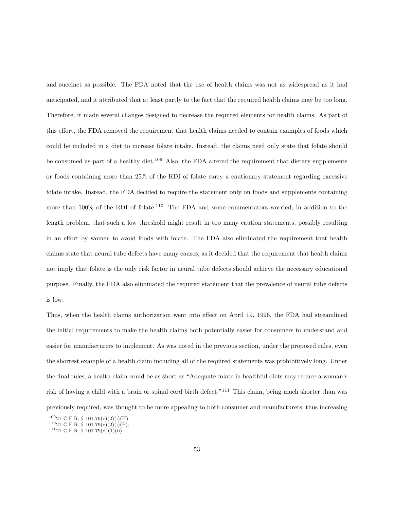and succinct as possible. The FDA noted that the use of health claims was not as widespread as it had anticipated, and it attributed that at least partly to the fact that the required health claims may be too long. Therefore, it made several changes designed to decrease the required elements for health claims. As part of this effort, the FDA removed the requirement that health claims needed to contain examples of foods which could be included in a diet to increase folate intake. Instead, the claims need only state that folate should be consumed as part of a healthy diet.<sup>109</sup> Also, the FDA altered the requirement that dietary supplements or foods containing more than 25% of the RDI of folate carry a cautionary statement regarding excessive folate intake. Instead, the FDA decided to require the statement only on foods and supplements containing more than 100% of the RDI of folate.<sup>110</sup> The FDA and some commentators worried, in addition to the length problem, that such a low threshold might result in too many caution statements, possibly resulting in an effort by women to avoid foods with folate. The FDA also eliminated the requirement that health claims state that neural tube defects have many causes, as it decided that the requirement that health claims not imply that folate is the only risk factor in neural tube defects should achieve the necessary educational purpose. Finally, the FDA also eliminated the required statement that the prevalence of neural tube defects is low.

Thus, when the health claims authorization went into effect on April 19, 1996, the FDA had streamlined the initial requirements to make the health claims both potentially easier for consumers to understand and easier for manufacturers to implement. As was noted in the previous section, under the proposed rules, even the shortest example of a health claim including all of the required statements was prohibitively long. Under the final rules, a health claim could be as short as "Adequate folate in healthful diets may reduce a woman's risk of having a child with a brain or spinal cord birth defect."<sup>111</sup> This claim, being much shorter than was previously required, was thought to be more appealing to both consumer and manufacturers, thus increasing

 $10921$  C.F.R. § 101.79(c)(2)(i)(H).

 $11021$  C.F.R. § 101.79(c)(2)(i)(F).

 $11121$  C.F.R. § 101.79(d)(1)(ii).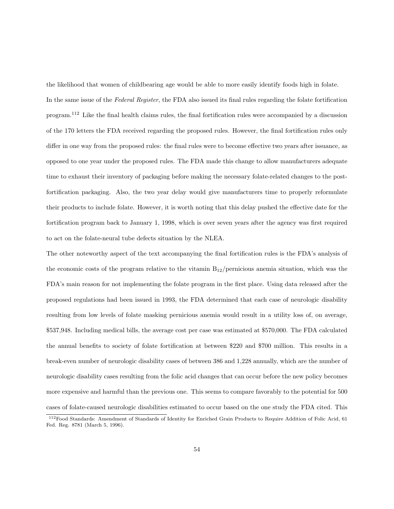the likelihood that women of childbearing age would be able to more easily identify foods high in folate. In the same issue of the Federal Register, the FDA also issued its final rules regarding the folate fortification program.<sup>112</sup> Like the final health claims rules, the final fortification rules were accompanied by a discussion of the 170 letters the FDA received regarding the proposed rules. However, the final fortification rules only differ in one way from the proposed rules: the final rules were to become effective two years after issuance, as opposed to one year under the proposed rules. The FDA made this change to allow manufacturers adequate time to exhaust their inventory of packaging before making the necessary folate-related changes to the postfortification packaging. Also, the two year delay would give manufacturers time to properly reformulate their products to include folate. However, it is worth noting that this delay pushed the effective date for the fortification program back to January 1, 1998, which is over seven years after the agency was first required to act on the folate-neural tube defects situation by the NLEA.

The other noteworthy aspect of the text accompanying the final fortification rules is the FDA's analysis of the economic costs of the program relative to the vitamin  $B_{12}$ /pernicious anemia situation, which was the FDA's main reason for not implementing the folate program in the first place. Using data released after the proposed regulations had been issued in 1993, the FDA determined that each case of neurologic disability resulting from low levels of folate masking pernicious anemia would result in a utility loss of, on average, \$537,948. Including medical bills, the average cost per case was estimated at \$570,000. The FDA calculated the annual benefits to society of folate fortification at between \$220 and \$700 million. This results in a break-even number of neurologic disability cases of between 386 and 1,228 annually, which are the number of neurologic disability cases resulting from the folic acid changes that can occur before the new policy becomes more expensive and harmful than the previous one. This seems to compare favorably to the potential for 500 cases of folate-caused neurologic disabilities estimated to occur based on the one study the FDA cited. This

<sup>112</sup>Food Standards: Amendment of Standards of Identity for Enriched Grain Products to Require Addition of Folic Acid, 61 Fed. Reg. 8781 (March 5, 1996).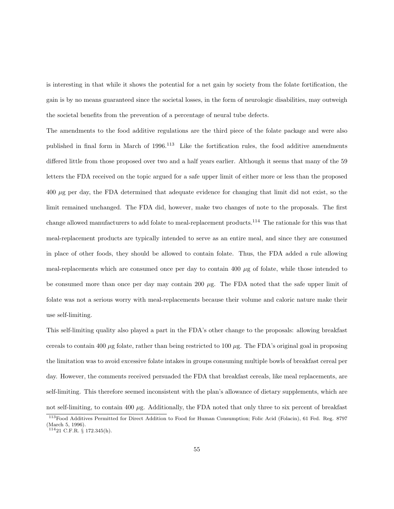is interesting in that while it shows the potential for a net gain by society from the folate fortification, the gain is by no means guaranteed since the societal losses, in the form of neurologic disabilities, may outweigh the societal benefits from the prevention of a percentage of neural tube defects.

The amendments to the food additive regulations are the third piece of the folate package and were also published in final form in March of 1996.<sup>113</sup> Like the fortification rules, the food additive amendments differed little from those proposed over two and a half years earlier. Although it seems that many of the 59 letters the FDA received on the topic argued for a safe upper limit of either more or less than the proposed 400 µg per day, the FDA determined that adequate evidence for changing that limit did not exist, so the limit remained unchanged. The FDA did, however, make two changes of note to the proposals. The first change allowed manufacturers to add folate to meal-replacement products.<sup>114</sup> The rationale for this was that meal-replacement products are typically intended to serve as an entire meal, and since they are consumed in place of other foods, they should be allowed to contain folate. Thus, the FDA added a rule allowing meal-replacements which are consumed once per day to contain 400  $\mu$ g of folate, while those intended to be consumed more than once per day may contain 200  $\mu$ g. The FDA noted that the safe upper limit of folate was not a serious worry with meal-replacements because their volume and caloric nature make their use self-limiting.

This self-limiting quality also played a part in the FDA's other change to the proposals: allowing breakfast cereals to contain 400  $\mu$ g folate, rather than being restricted to 100  $\mu$ g. The FDA's original goal in proposing the limitation was to avoid excessive folate intakes in groups consuming multiple bowls of breakfast cereal per day. However, the comments received persuaded the FDA that breakfast cereals, like meal replacements, are self-limiting. This therefore seemed inconsistent with the plan's allowance of dietary supplements, which are not self-limiting, to contain 400  $\mu$ g. Additionally, the FDA noted that only three to six percent of breakfast

<sup>113</sup>Food Additives Permitted for Direct Addition to Food for Human Consumption; Folic Acid (Folacin), 61 Fed. Reg. 8797 (March 5, 1996).

 $11421$  C.F.R. § 172.345(h).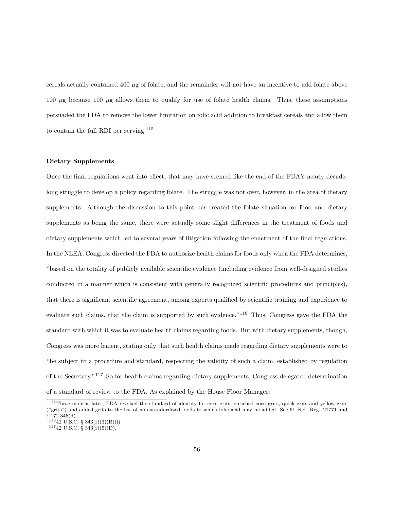cereals actually contained 400 µg of folate, and the remainder will not have an incentive to add folate above 100  $\mu$ g because 100  $\mu$ g allows them to qualify for use of folate health claims. Thus, these assumptions persuaded the FDA to remove the lower limitation on folic acid addition to breakfast cereals and allow them to contain the full RDI per serving.<sup>115</sup>

### Dietary Supplements

Once the final regulations went into effect, that may have seemed like the end of the FDA's nearly decadelong struggle to develop a policy regarding folate. The struggle was not over, however, in the area of dietary supplements. Although the discussion to this point has treated the folate situation for food and dietary supplements as being the same, there were actually some slight differences in the treatment of foods and dietary supplements which led to several years of litigation following the enactment of the final regulations. In the NLEA, Congress directed the FDA to authorize health claims for foods only when the FDA determines, "based on the totality of publicly available scientific evidence (including evidence from well-designed studies conducted in a manner which is consistent with generally recognized scientific procedures and principles), that there is significant scientific agreement, among experts qualified by scientific training and experience to evaluate such claims, that the claim is supported by such evidence."<sup>116</sup> Thus, Congress gave the FDA the standard with which it was to evaluate health claims regarding foods. But with dietary supplements, though, Congress was more lenient, stating only that such health claims made regarding dietary supplements were to "be subject to a procedure and standard, respecting the validity of such a claim, established by regulation of the Secretary."<sup>117</sup> So for health claims regarding dietary supplements, Congress delegated determination of a standard of review to the FDA. As explained by the House Floor Manager:

<sup>&</sup>lt;sup>115</sup>Three months later, FDA revoked the standard of identity for corn grits, enriched corn grits, quick grits and yellow grits ("grits") and added grits to the list of non-standardized foods to which folic acid may be added. See 61 Fed. Reg. 27771 and  $§ 172.345(d).$ 

 $11642 \text{ U.S. C. }$ § 343(r)(3)(B)(i).

 $11742$  U.S.C. § 343(r)(5)(D).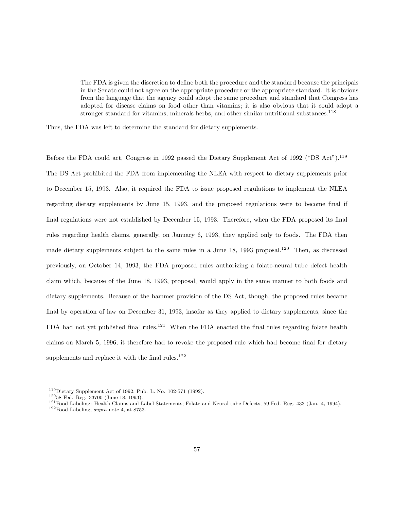The FDA is given the discretion to define both the procedure and the standard because the principals in the Senate could not agree on the appropriate procedure or the appropriate standard. It is obvious from the language that the agency could adopt the same procedure and standard that Congress has adopted for disease claims on food other than vitamins; it is also obvious that it could adopt a stronger standard for vitamins, minerals herbs, and other similar nutritional substances.<sup>118</sup>

Thus, the FDA was left to determine the standard for dietary supplements.

Before the FDA could act, Congress in 1992 passed the Dietary Supplement Act of 1992 ("DS Act").<sup>119</sup> The DS Act prohibited the FDA from implementing the NLEA with respect to dietary supplements prior to December 15, 1993. Also, it required the FDA to issue proposed regulations to implement the NLEA regarding dietary supplements by June 15, 1993, and the proposed regulations were to become final if final regulations were not established by December 15, 1993. Therefore, when the FDA proposed its final rules regarding health claims, generally, on January 6, 1993, they applied only to foods. The FDA then made dietary supplements subject to the same rules in a June 18, 1993 proposal.<sup>120</sup> Then, as discussed previously, on October 14, 1993, the FDA proposed rules authorizing a folate-neural tube defect health claim which, because of the June 18, 1993, proposal, would apply in the same manner to both foods and dietary supplements. Because of the hammer provision of the DS Act, though, the proposed rules became final by operation of law on December 31, 1993, insofar as they applied to dietary supplements, since the FDA had not yet published final rules.<sup>121</sup> When the FDA enacted the final rules regarding folate health claims on March 5, 1996, it therefore had to revoke the proposed rule which had become final for dietary supplements and replace it with the final rules.<sup>122</sup>

<sup>119</sup>Dietary Supplement Act of 1992, Pub. L. No. 102-571 (1992).

<sup>120</sup>58 Fed. Reg. 33700 (June 18, 1993).

<sup>&</sup>lt;sup>121</sup>Food Labeling: Health Claims and Label Statements; Folate and Neural tube Defects, 59 Fed. Reg. 433 (Jan. 4, 1994).

 $122$ Food Labeling, supra note 4, at 8753.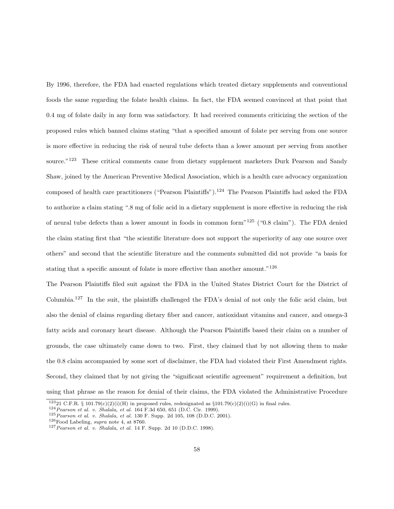By 1996, therefore, the FDA had enacted regulations which treated dietary supplements and conventional foods the same regarding the folate health claims. In fact, the FDA seemed convinced at that point that 0.4 mg of folate daily in any form was satisfactory. It had received comments criticizing the section of the proposed rules which banned claims stating "that a specified amount of folate per serving from one source is more effective in reducing the risk of neural tube defects than a lower amount per serving from another source."<sup>123</sup> These critical comments came from dietary supplement marketers Durk Pearson and Sandy Shaw, joined by the American Preventive Medical Association, which is a health care advocacy organization composed of health care practitioners ("Pearson Plaintiffs").<sup>124</sup> The Pearson Plaintiffs had asked the FDA to authorize a claim stating ".8 mg of folic acid in a dietary supplement is more effective in reducing the risk of neural tube defects than a lower amount in foods in common form"<sup>125</sup> ("0.8 claim"). The FDA denied the claim stating first that "the scientific literature does not support the superiority of any one source over others" and second that the scientific literature and the comments submitted did not provide "a basis for stating that a specific amount of folate is more effective than another amount."<sup>126</sup>

The Pearson Plaintiffs filed suit against the FDA in the United States District Court for the District of Columbia.<sup>127</sup> In the suit, the plaintiffs challenged the FDA's denial of not only the folic acid claim, but also the denial of claims regarding dietary fiber and cancer, antioxidant vitamins and cancer, and omega-3 fatty acids and coronary heart disease. Although the Pearson Plaintiffs based their claim on a number of grounds, the case ultimately came down to two. First, they claimed that by not allowing them to make the 0.8 claim accompanied by some sort of disclaimer, the FDA had violated their First Amendment rights. Second, they claimed that by not giving the "significant scientific agreement" requirement a definition, but using that phrase as the reason for denial of their claims, the FDA violated the Administrative Procedure

<sup>124</sup>Pearson et al. v. Shalala, et al. 164 F.3d 650, 651 (D.C. Cir. 1999).

 $12321$  C.F.R. § 101.79(c)(2)(i)(H) in proposed rules, redesignated as §101.79(c)(2)(i)(G) in final rules.

 $125$  Pearson et al. v. Shalala, et al. 130 F. Supp. 2d 105, 108 (D.D.C. 2001).

 $^{126}\mathrm{Food}$  Labeling,  $supra$  note 4, at 8760.

 $127$  Pearson et al. v. Shalala, et al. 14 F. Supp. 2d 10 (D.D.C. 1998).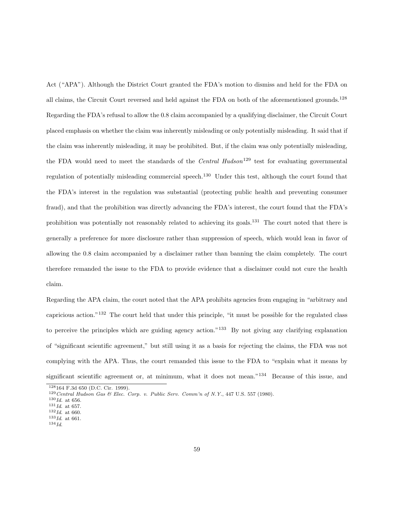Act ("APA"). Although the District Court granted the FDA's motion to dismiss and held for the FDA on all claims, the Circuit Court reversed and held against the FDA on both of the aforementioned grounds.<sup>128</sup> Regarding the FDA's refusal to allow the 0.8 claim accompanied by a qualifying disclaimer, the Circuit Court placed emphasis on whether the claim was inherently misleading or only potentially misleading. It said that if the claim was inherently misleading, it may be prohibited. But, if the claim was only potentially misleading, the FDA would need to meet the standards of the *Central Hudson*<sup>129</sup> test for evaluating governmental regulation of potentially misleading commercial speech.<sup>130</sup> Under this test, although the court found that the FDA's interest in the regulation was substantial (protecting public health and preventing consumer fraud), and that the prohibition was directly advancing the FDA's interest, the court found that the FDA's prohibition was potentially not reasonably related to achieving its goals.<sup>131</sup> The court noted that there is generally a preference for more disclosure rather than suppression of speech, which would lean in favor of allowing the 0.8 claim accompanied by a disclaimer rather than banning the claim completely. The court therefore remanded the issue to the FDA to provide evidence that a disclaimer could not cure the health claim.

Regarding the APA claim, the court noted that the APA prohibits agencies from engaging in "arbitrary and capricious action."<sup>132</sup> The court held that under this principle, "it must be possible for the regulated class to perceive the principles which are guiding agency action."<sup>133</sup> By not giving any clarifying explanation of "significant scientific agreement," but still using it as a basis for rejecting the claims, the FDA was not complying with the APA. Thus, the court remanded this issue to the FDA to "explain what it means by significant scientific agreement or, at minimum, what it does not mean."<sup>134</sup> Because of this issue, and

 $^{134}Id.$ 

<sup>128</sup>164 F.3d 650 (D.C. Cir. 1999).

<sup>129</sup>Central Hudson Gas & Elec. Corp. v. Public Serv. Comm'n of N.Y., 447 U.S. 557 (1980).

 $130 \, \text{Id.}$  at 656.  $^{131} \mathit{Id.}$  at 657.

 $^{132} \mathit{Id.}$  at 660.

 $133$ *Id.* at 661.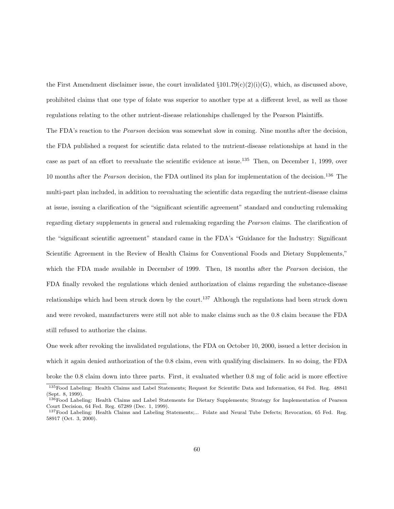the First Amendment disclaimer issue, the court invalidated  $\S 101.79(c)(2)(i)(G)$ , which, as discussed above, prohibited claims that one type of folate was superior to another type at a different level, as well as those regulations relating to the other nutrient-disease relationships challenged by the Pearson Plaintiffs.

The FDA's reaction to the Pearson decision was somewhat slow in coming. Nine months after the decision, the FDA published a request for scientific data related to the nutrient-disease relationships at hand in the case as part of an effort to reevaluate the scientific evidence at issue.<sup>135</sup> Then, on December 1, 1999, over 10 months after the *Pearson* decision, the FDA outlined its plan for implementation of the decision.<sup>136</sup> The multi-part plan included, in addition to reevaluating the scientific data regarding the nutrient-disease claims at issue, issuing a clarification of the "significant scientific agreement" standard and conducting rulemaking regarding dietary supplements in general and rulemaking regarding the *Pearson* claims. The clarification of the "significant scientific agreement" standard came in the FDA's "Guidance for the Industry: Significant Scientific Agreement in the Review of Health Claims for Conventional Foods and Dietary Supplements," which the FDA made available in December of 1999. Then, 18 months after the *Pearson* decision, the FDA finally revoked the regulations which denied authorization of claims regarding the substance-disease relationships which had been struck down by the court.<sup>137</sup> Although the regulations had been struck down and were revoked, manufacturers were still not able to make claims such as the 0.8 claim because the FDA still refused to authorize the claims.

One week after revoking the invalidated regulations, the FDA on October 10, 2000, issued a letter decision in which it again denied authorization of the 0.8 claim, even with qualifying disclaimers. In so doing, the FDA broke the 0.8 claim down into three parts. First, it evaluated whether 0.8 mg of folic acid is more effective

<sup>135</sup>Food Labeling: Health Claims and Label Statements; Request for Scientific Data and Information, 64 Fed. Reg. 48841 (Sept. 8, 1999).

<sup>136</sup>Food Labeling: Health Claims and Label Statements for Dietary Supplements; Strategy for Implementation of Pearson Court Decision, 64 Fed. Reg. 67289 (Dec. 1, 1999).

<sup>137</sup>Food Labeling: Health Claims and Labeling Statements;... Folate and Neural Tube Defects; Revocation, 65 Fed. Reg. 58917 (Oct. 3, 2000).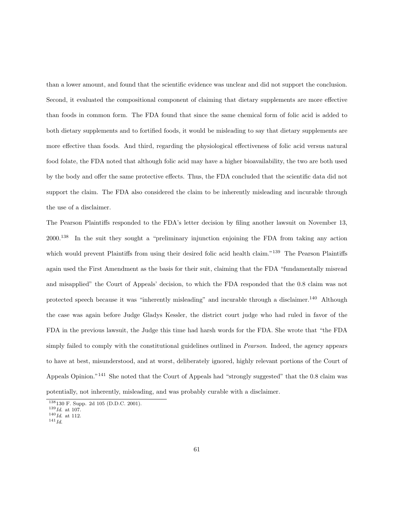than a lower amount, and found that the scientific evidence was unclear and did not support the conclusion. Second, it evaluated the compositional component of claiming that dietary supplements are more effective than foods in common form. The FDA found that since the same chemical form of folic acid is added to both dietary supplements and to fortified foods, it would be misleading to say that dietary supplements are more effective than foods. And third, regarding the physiological effectiveness of folic acid versus natural food folate, the FDA noted that although folic acid may have a higher bioavailability, the two are both used by the body and offer the same protective effects. Thus, the FDA concluded that the scientific data did not support the claim. The FDA also considered the claim to be inherently misleading and incurable through the use of a disclaimer.

The Pearson Plaintiffs responded to the FDA's letter decision by filing another lawsuit on November 13, 2000.<sup>138</sup> In the suit they sought a "preliminary injunction enjoining the FDA from taking any action which would prevent Plaintiffs from using their desired folic acid health claim."<sup>139</sup> The Pearson Plaintiffs again used the First Amendment as the basis for their suit, claiming that the FDA "fundamentally misread and misapplied" the Court of Appeals' decision, to which the FDA responded that the 0.8 claim was not protected speech because it was "inherently misleading" and incurable through a disclaimer.<sup>140</sup> Although the case was again before Judge Gladys Kessler, the district court judge who had ruled in favor of the FDA in the previous lawsuit, the Judge this time had harsh words for the FDA. She wrote that "the FDA simply failed to comply with the constitutional guidelines outlined in *Pearson*. Indeed, the agency appears to have at best, misunderstood, and at worst, deliberately ignored, highly relevant portions of the Court of Appeals Opinion."<sup>141</sup> She noted that the Court of Appeals had "strongly suggested" that the 0.8 claim was potentially, not inherently, misleading, and was probably curable with a disclaimer.

<sup>138</sup>130 F. Supp. 2d 105 (D.D.C. 2001).

 $139$   $Id.$  at 107.

 $140$  Id. at 112.

 $^{141} \, Id.$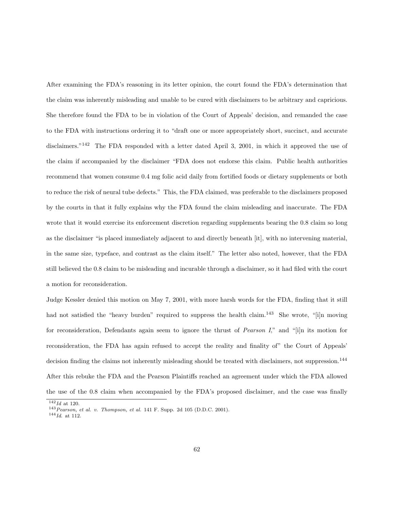After examining the FDA's reasoning in its letter opinion, the court found the FDA's determination that the claim was inherently misleading and unable to be cured with disclaimers to be arbitrary and capricious. She therefore found the FDA to be in violation of the Court of Appeals' decision, and remanded the case to the FDA with instructions ordering it to "draft one or more appropriately short, succinct, and accurate disclaimers."<sup>142</sup> The FDA responded with a letter dated April 3, 2001, in which it approved the use of the claim if accompanied by the disclaimer "FDA does not endorse this claim. Public health authorities recommend that women consume 0.4 mg folic acid daily from fortified foods or dietary supplements or both to reduce the risk of neural tube defects." This, the FDA claimed, was preferable to the disclaimers proposed by the courts in that it fully explains why the FDA found the claim misleading and inaccurate. The FDA wrote that it would exercise its enforcement discretion regarding supplements bearing the 0.8 claim so long as the disclaimer "is placed immediately adjacent to and directly beneath [it], with no intervening material, in the same size, typeface, and contrast as the claim itself." The letter also noted, however, that the FDA still believed the 0.8 claim to be misleading and incurable through a disclaimer, so it had filed with the court a motion for reconsideration.

Judge Kessler denied this motion on May 7, 2001, with more harsh words for the FDA, finding that it still had not satisfied the "heavy burden" required to suppress the health claim.<sup>143</sup> She wrote, "[i]n moving for reconsideration, Defendants again seem to ignore the thrust of *Pearson I*," and "[i]n its motion for reconsideration, the FDA has again refused to accept the reality and finality of" the Court of Appeals' decision finding the claims not inherently misleading should be treated with disclaimers, not suppression.<sup>144</sup> After this rebuke the FDA and the Pearson Plaintiffs reached an agreement under which the FDA allowed the use of the 0.8 claim when accompanied by the FDA's proposed disclaimer, and the case was finally

 $\overline{142}$ *Id* at 120.

<sup>143</sup>Pearson, et al. v. Thompson, et al. 141 F. Supp. 2d 105 (D.D.C. 2001).

 $^{144} \mathit{Id.}$  at 112.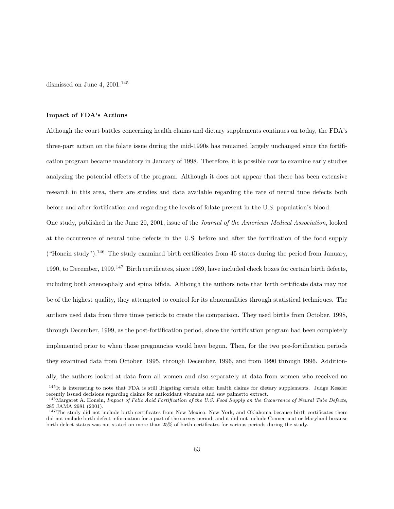dismissed on June 4,  $2001.<sup>145</sup>$ 

#### Impact of FDA's Actions

Although the court battles concerning health claims and dietary supplements continues on today, the FDA's three-part action on the folate issue during the mid-1990s has remained largely unchanged since the fortification program became mandatory in January of 1998. Therefore, it is possible now to examine early studies analyzing the potential effects of the program. Although it does not appear that there has been extensive research in this area, there are studies and data available regarding the rate of neural tube defects both before and after fortification and regarding the levels of folate present in the U.S. population's blood.

One study, published in the June 20, 2001, issue of the Journal of the American Medical Association, looked at the occurrence of neural tube defects in the U.S. before and after the fortification of the food supply ("Honein study").<sup>146</sup> The study examined birth certificates from 45 states during the period from January, 1990, to December, 1999.<sup>147</sup> Birth certificates, since 1989, have included check boxes for certain birth defects, including both anencephaly and spina bifida. Although the authors note that birth certificate data may not be of the highest quality, they attempted to control for its abnormalities through statistical techniques. The authors used data from three times periods to create the comparison. They used births from October, 1998, through December, 1999, as the post-fortification period, since the fortification program had been completely implemented prior to when those pregnancies would have begun. Then, for the two pre-fortification periods they examined data from October, 1995, through December, 1996, and from 1990 through 1996. Additionally, the authors looked at data from all women and also separately at data from women who received no

<sup>145</sup>It is interesting to note that FDA is still litigating certain other health claims for dietary supplements. Judge Kessler recently issued decisions regarding claims for antioxidant vitamins and saw palmetto extract.

<sup>146</sup>Margaret A. Honein, Impact of Folic Acid Fortification of the U.S. Food Supply on the Occurrence of Neural Tube Defects, 285 JAMA 2981 (2001).

<sup>&</sup>lt;sup>147</sup>The study did not include birth certificates from New Mexico, New York, and Oklahoma because birth certificates there did not include birth defect information for a part of the survey period, and it did not include Connecticut or Maryland because birth defect status was not stated on more than 25% of birth certificates for various periods during the study.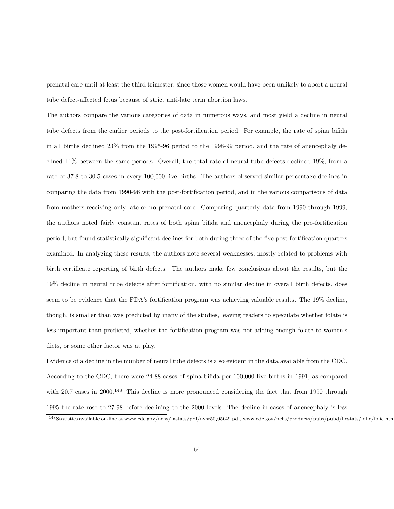prenatal care until at least the third trimester, since those women would have been unlikely to abort a neural tube defect-affected fetus because of strict anti-late term abortion laws.

The authors compare the various categories of data in numerous ways, and most yield a decline in neural tube defects from the earlier periods to the post-fortification period. For example, the rate of spina bifida in all births declined 23% from the 1995-96 period to the 1998-99 period, and the rate of anencephaly declined 11% between the same periods. Overall, the total rate of neural tube defects declined 19%, from a rate of 37.8 to 30.5 cases in every 100,000 live births. The authors observed similar percentage declines in comparing the data from 1990-96 with the post-fortification period, and in the various comparisons of data from mothers receiving only late or no prenatal care. Comparing quarterly data from 1990 through 1999, the authors noted fairly constant rates of both spina bifida and anencephaly during the pre-fortification period, but found statistically significant declines for both during three of the five post-fortification quarters examined. In analyzing these results, the authors note several weaknesses, mostly related to problems with birth certificate reporting of birth defects. The authors make few conclusions about the results, but the 19% decline in neural tube defects after fortification, with no similar decline in overall birth defects, does seem to be evidence that the FDA's fortification program was achieving valuable results. The 19% decline, though, is smaller than was predicted by many of the studies, leaving readers to speculate whether folate is less important than predicted, whether the fortification program was not adding enough folate to women's diets, or some other factor was at play.

Evidence of a decline in the number of neural tube defects is also evident in the data available from the CDC. According to the CDC, there were 24.88 cases of spina bifida per 100,000 live births in 1991, as compared with 20.7 cases in 2000.<sup>148</sup> This decline is more pronounced considering the fact that from 1990 through 1995 the rate rose to 27.98 before declining to the 2000 levels. The decline in cases of anencephaly is less

<sup>148</sup>Statistics available on-line at www.cdc.gov/nchs/fastats/pdf/nvsr50 05t49.pdf, www.cdc.gov/nchs/products/pubs/pubd/hestats/folic/folic.htm.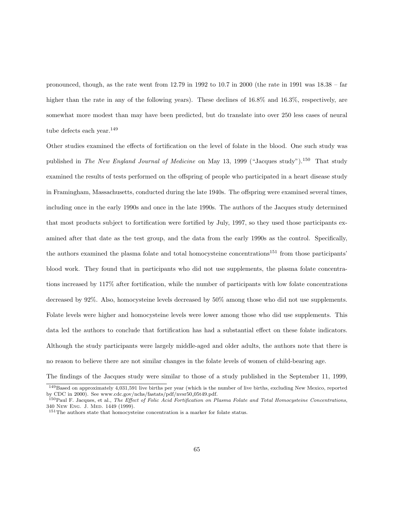pronounced, though, as the rate went from 12.79 in 1992 to 10.7 in 2000 (the rate in 1991 was 18.38 – far higher than the rate in any of the following years). These declines of 16.8% and 16.3%, respectively, are somewhat more modest than may have been predicted, but do translate into over 250 less cases of neural tube defects each year.<sup>149</sup>

Other studies examined the effects of fortification on the level of folate in the blood. One such study was published in The New England Journal of Medicine on May 13, 1999 ("Jacques study").<sup>150</sup> That study examined the results of tests performed on the offspring of people who participated in a heart disease study in Framingham, Massachusetts, conducted during the late 1940s. The offspring were examined several times, including once in the early 1990s and once in the late 1990s. The authors of the Jacques study determined that most products subject to fortification were fortified by July, 1997, so they used those participants examined after that date as the test group, and the data from the early 1990s as the control. Specifically, the authors examined the plasma folate and total homocysteine concentrations<sup>151</sup> from those participants' blood work. They found that in participants who did not use supplements, the plasma folate concentrations increased by 117% after fortification, while the number of participants with low folate concentrations decreased by 92%. Also, homocysteine levels decreased by 50% among those who did not use supplements. Folate levels were higher and homocysteine levels were lower among those who did use supplements. This data led the authors to conclude that fortification has had a substantial effect on these folate indicators. Although the study participants were largely middle-aged and older adults, the authors note that there is no reason to believe there are not similar changes in the folate levels of women of child-bearing age.

The findings of the Jacques study were similar to those of a study published in the September 11, 1999,

<sup>149</sup>Based on approximately 4,031,591 live births per year (which is the number of live births, excluding New Mexico, reported by CDC in 2000). See www.cdc.gov/nchs/fastats/pdf/nvsr50 05t49.pdf.

<sup>&</sup>lt;sup>150</sup>Paul F. Jacques, et al., The Effect of Folic Acid Fortification on Plasma Folate and Total Homocysteine Concentrations, 340 New Eng. J. Med. 1449 (1999).

<sup>&</sup>lt;sup>151</sup>The authors state that homocysteine concentration is a marker for folate status.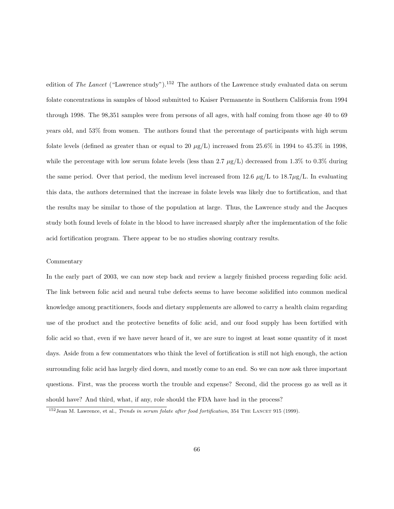edition of The Lancet ("Lawrence study").<sup>152</sup> The authors of the Lawrence study evaluated data on serum folate concentrations in samples of blood submitted to Kaiser Permanente in Southern California from 1994 through 1998. The 98,351 samples were from persons of all ages, with half coming from those age 40 to 69 years old, and 53% from women. The authors found that the percentage of participants with high serum folate levels (defined as greater than or equal to 20  $\mu$ g/L) increased from 25.6% in 1994 to 45.3% in 1998, while the percentage with low serum folate levels (less than 2.7  $\mu$ g/L) decreased from 1.3% to 0.3% during the same period. Over that period, the medium level increased from 12.6  $\mu$ g/L to 18.7 $\mu$ g/L. In evaluating this data, the authors determined that the increase in folate levels was likely due to fortification, and that the results may be similar to those of the population at large. Thus, the Lawrence study and the Jacques study both found levels of folate in the blood to have increased sharply after the implementation of the folic acid fortification program. There appear to be no studies showing contrary results.

### Commentary

In the early part of 2003, we can now step back and review a largely finished process regarding folic acid. The link between folic acid and neural tube defects seems to have become solidified into common medical knowledge among practitioners, foods and dietary supplements are allowed to carry a health claim regarding use of the product and the protective benefits of folic acid, and our food supply has been fortified with folic acid so that, even if we have never heard of it, we are sure to ingest at least some quantity of it most days. Aside from a few commentators who think the level of fortification is still not high enough, the action surrounding folic acid has largely died down, and mostly come to an end. So we can now ask three important questions. First, was the process worth the trouble and expense? Second, did the process go as well as it should have? And third, what, if any, role should the FDA have had in the process?

 $152$  Jean M. Lawrence, et al., Trends in serum folate after food fortification, 354 THE LANCET 915 (1999).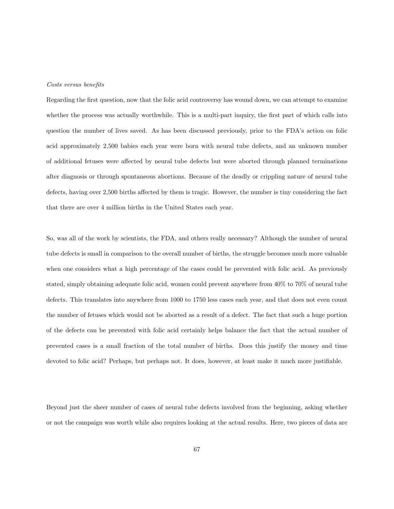### Costs versus benefits

Regarding the first question, now that the folic acid controversy has wound down, we can attempt to examine whether the process was actually worthwhile. This is a multi-part inquiry, the first part of which calls into question the number of lives saved. As has been discussed previously, prior to the FDA's action on folic acid approximately 2,500 babies each year were born with neural tube defects, and an unknown number of additional fetuses were affected by neural tube defects but were aborted through planned terminations after diagnosis or through spontaneous abortions. Because of the deadly or crippling nature of neural tube defects, having over 2,500 births affected by them is tragic. However, the number is tiny considering the fact that there are over 4 million births in the United States each year.

So, was all of the work by scientists, the FDA, and others really necessary? Although the number of neural tube defects is small in comparison to the overall number of births, the struggle becomes much more valuable when one considers what a high percentage of the cases could be prevented with folic acid. As previously stated, simply obtaining adequate folic acid, women could prevent anywhere from 40% to 70% of neural tube defects. This translates into anywhere from 1000 to 1750 less cases each year, and that does not even count the number of fetuses which would not be aborted as a result of a defect. The fact that such a huge portion of the defects can be prevented with folic acid certainly helps balance the fact that the actual number of prevented cases is a small fraction of the total number of births. Does this justify the money and time devoted to folic acid? Perhaps, but perhaps not. It does, however, at least make it much more justifiable.

Beyond just the sheer number of cases of neural tube defects involved from the beginning, asking whether or not the campaign was worth while also requires looking at the actual results. Here, two pieces of data are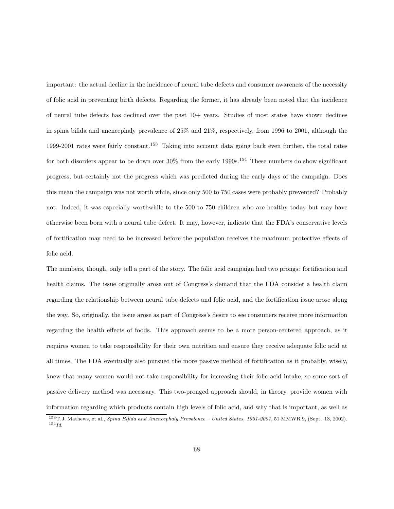important: the actual decline in the incidence of neural tube defects and consumer awareness of the necessity of folic acid in preventing birth defects. Regarding the former, it has already been noted that the incidence of neural tube defects has declined over the past 10+ years. Studies of most states have shown declines in spina bifida and anencephaly prevalence of 25% and 21%, respectively, from 1996 to 2001, although the 1999-2001 rates were fairly constant.<sup>153</sup> Taking into account data going back even further, the total rates for both disorders appear to be down over  $30\%$  from the early 1990s.<sup>154</sup> These numbers do show significant progress, but certainly not the progress which was predicted during the early days of the campaign. Does this mean the campaign was not worth while, since only 500 to 750 cases were probably prevented? Probably not. Indeed, it was especially worthwhile to the 500 to 750 children who are healthy today but may have otherwise been born with a neural tube defect. It may, however, indicate that the FDA's conservative levels of fortification may need to be increased before the population receives the maximum protective effects of folic acid.

The numbers, though, only tell a part of the story. The folic acid campaign had two prongs: fortification and health claims. The issue originally arose out of Congress's demand that the FDA consider a health claim regarding the relationship between neural tube defects and folic acid, and the fortification issue arose along the way. So, originally, the issue arose as part of Congress's desire to see consumers receive more information regarding the health effects of foods. This approach seems to be a more person-centered approach, as it requires women to take responsibility for their own nutrition and ensure they receive adequate folic acid at all times. The FDA eventually also pursued the more passive method of fortification as it probably, wisely, knew that many women would not take responsibility for increasing their folic acid intake, so some sort of passive delivery method was necessary. This two-pronged approach should, in theory, provide women with information regarding which products contain high levels of folic acid, and why that is important, as well as

<sup>153</sup>T.J. Mathews, et al., Spina Bifida and Anencephaly Prevalence – United States, 1991-2001, 51 MMWR 9, (Sept. 13, 2002).  $154$   $Id.$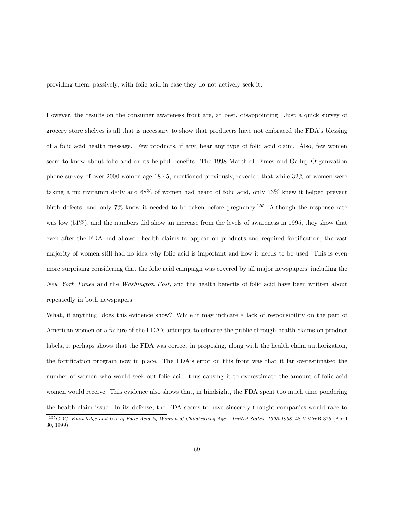providing them, passively, with folic acid in case they do not actively seek it.

However, the results on the consumer awareness front are, at best, disappointing. Just a quick survey of grocery store shelves is all that is necessary to show that producers have not embraced the FDA's blessing of a folic acid health message. Few products, if any, bear any type of folic acid claim. Also, few women seem to know about folic acid or its helpful benefits. The 1998 March of Dimes and Gallup Organization phone survey of over 2000 women age 18-45, mentioned previously, revealed that while 32% of women were taking a multivitamin daily and 68% of women had heard of folic acid, only 13% knew it helped prevent birth defects, and only 7% knew it needed to be taken before pregnancy.<sup>155</sup> Although the response rate was low (51%), and the numbers did show an increase from the levels of awareness in 1995, they show that even after the FDA had allowed health claims to appear on products and required fortification, the vast majority of women still had no idea why folic acid is important and how it needs to be used. This is even more surprising considering that the folic acid campaign was covered by all major newspapers, including the New York Times and the Washington Post, and the health benefits of folic acid have been written about repeatedly in both newspapers.

What, if anything, does this evidence show? While it may indicate a lack of responsibility on the part of American women or a failure of the FDA's attempts to educate the public through health claims on product labels, it perhaps shows that the FDA was correct in proposing, along with the health claim authorization, the fortification program now in place. The FDA's error on this front was that it far overestimated the number of women who would seek out folic acid, thus causing it to overestimate the amount of folic acid women would receive. This evidence also shows that, in hindsight, the FDA spent too much time pondering the health claim issue. In its defense, the FDA seems to have sincerely thought companies would race to

<sup>155</sup>CDC, Knowledge and Use of Folic Acid by Women of Childbearing Age – United States, 1995-1998, 48 MMWR 325 (April 30, 1999).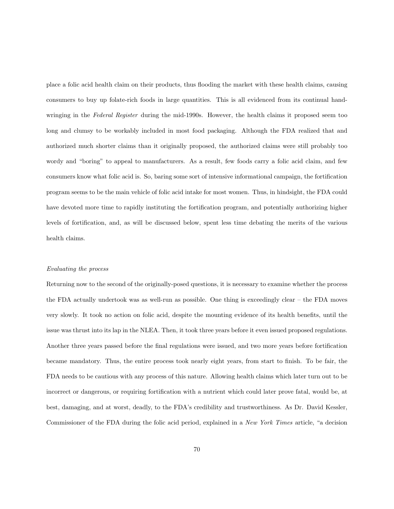place a folic acid health claim on their products, thus flooding the market with these health claims, causing consumers to buy up folate-rich foods in large quantities. This is all evidenced from its continual handwringing in the Federal Register during the mid-1990s. However, the health claims it proposed seem too long and clumsy to be workably included in most food packaging. Although the FDA realized that and authorized much shorter claims than it originally proposed, the authorized claims were still probably too wordy and "boring" to appeal to manufacturers. As a result, few foods carry a folic acid claim, and few consumers know what folic acid is. So, baring some sort of intensive informational campaign, the fortification program seems to be the main vehicle of folic acid intake for most women. Thus, in hindsight, the FDA could have devoted more time to rapidly instituting the fortification program, and potentially authorizing higher levels of fortification, and, as will be discussed below, spent less time debating the merits of the various health claims.

#### Evaluating the process

Returning now to the second of the originally-posed questions, it is necessary to examine whether the process the FDA actually undertook was as well-run as possible. One thing is exceedingly clear – the FDA moves very slowly. It took no action on folic acid, despite the mounting evidence of its health benefits, until the issue was thrust into its lap in the NLEA. Then, it took three years before it even issued proposed regulations. Another three years passed before the final regulations were issued, and two more years before fortification became mandatory. Thus, the entire process took nearly eight years, from start to finish. To be fair, the FDA needs to be cautious with any process of this nature. Allowing health claims which later turn out to be incorrect or dangerous, or requiring fortification with a nutrient which could later prove fatal, would be, at best, damaging, and at worst, deadly, to the FDA's credibility and trustworthiness. As Dr. David Kessler, Commissioner of the FDA during the folic acid period, explained in a New York Times article, "a decision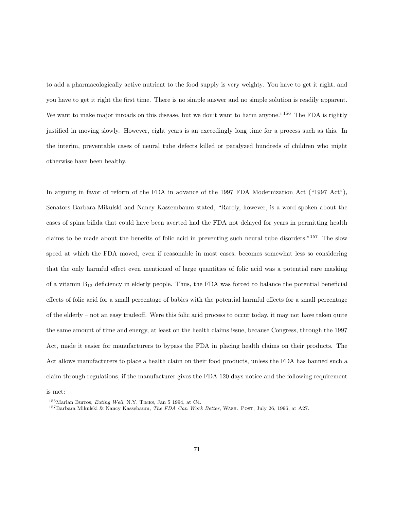to add a pharmacologically active nutrient to the food supply is very weighty. You have to get it right, and you have to get it right the first time. There is no simple answer and no simple solution is readily apparent. We want to make major inroads on this disease, but we don't want to harm anyone."<sup>156</sup> The FDA is rightly justified in moving slowly. However, eight years is an exceedingly long time for a process such as this. In the interim, preventable cases of neural tube defects killed or paralyzed hundreds of children who might otherwise have been healthy.

In arguing in favor of reform of the FDA in advance of the 1997 FDA Modernization Act ("1997 Act"), Senators Barbara Mikulski and Nancy Kassembaum stated, "Rarely, however, is a word spoken about the cases of spina bifida that could have been averted had the FDA not delayed for years in permitting health claims to be made about the benefits of folic acid in preventing such neural tube disorders."<sup>157</sup> The slow speed at which the FDA moved, even if reasonable in most cases, becomes somewhat less so considering that the only harmful effect even mentioned of large quantities of folic acid was a potential rare masking of a vitamin  $B_{12}$  deficiency in elderly people. Thus, the FDA was forced to balance the potential beneficial effects of folic acid for a small percentage of babies with the potential harmful effects for a small percentage of the elderly – not an easy tradeoff. Were this folic acid process to occur today, it may not have taken quite the same amount of time and energy, at least on the health claims issue, because Congress, through the 1997 Act, made it easier for manufacturers to bypass the FDA in placing health claims on their products. The Act allows manufacturers to place a health claim on their food products, unless the FDA has banned such a claim through regulations, if the manufacturer gives the FDA 120 days notice and the following requirement

is met:

<sup>156</sup>Marian Burros, Eating Well, N.Y. Times, Jan 5 1994, at C4.

<sup>&</sup>lt;sup>157</sup>Barbara Mikulski & Nancy Kassebaum, The FDA Can Work Better, WASH. POST, July 26, 1996, at A27.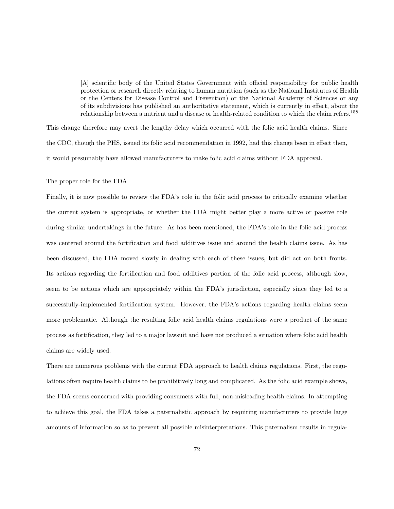[A] scientific body of the United States Government with official responsibility for public health protection or research directly relating to human nutrition (such as the National Institutes of Health or the Centers for Disease Control and Prevention) or the National Academy of Sciences or any of its subdivisions has published an authoritative statement, which is currently in effect, about the relationship between a nutrient and a disease or health-related condition to which the claim refers.<sup>158</sup>

This change therefore may avert the lengthy delay which occurred with the folic acid health claims. Since the CDC, though the PHS, issued its folic acid recommendation in 1992, had this change been in effect then, it would presumably have allowed manufacturers to make folic acid claims without FDA approval.

## The proper role for the FDA

Finally, it is now possible to review the FDA's role in the folic acid process to critically examine whether the current system is appropriate, or whether the FDA might better play a more active or passive role during similar undertakings in the future. As has been mentioned, the FDA's role in the folic acid process was centered around the fortification and food additives issue and around the health claims issue. As has been discussed, the FDA moved slowly in dealing with each of these issues, but did act on both fronts. Its actions regarding the fortification and food additives portion of the folic acid process, although slow, seem to be actions which are appropriately within the FDA's jurisdiction, especially since they led to a successfully-implemented fortification system. However, the FDA's actions regarding health claims seem more problematic. Although the resulting folic acid health claims regulations were a product of the same process as fortification, they led to a major lawsuit and have not produced a situation where folic acid health claims are widely used.

There are numerous problems with the current FDA approach to health claims regulations. First, the regulations often require health claims to be prohibitively long and complicated. As the folic acid example shows, the FDA seems concerned with providing consumers with full, non-misleading health claims. In attempting to achieve this goal, the FDA takes a paternalistic approach by requiring manufacturers to provide large amounts of information so as to prevent all possible misinterpretations. This paternalism results in regula-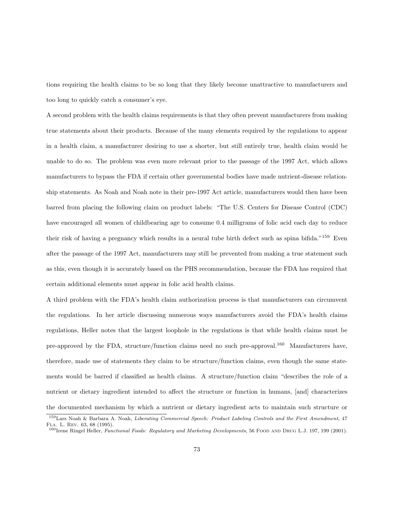tions requiring the health claims to be so long that they likely become unattractive to manufacturers and too long to quickly catch a consumer's eye.

A second problem with the health claims requirements is that they often prevent manufacturers from making true statements about their products. Because of the many elements required by the regulations to appear in a health claim, a manufacturer desiring to use a shorter, but still entirely true, health claim would be unable to do so. The problem was even more relevant prior to the passage of the 1997 Act, which allows manufacturers to bypass the FDA if certain other governmental bodies have made nutrient-disease relationship statements. As Noah and Noah note in their pre-1997 Act article, manufacturers would then have been barred from placing the following claim on product labels: "The U.S. Centers for Disease Control (CDC) have encouraged all women of childbearing age to consume 0.4 milligrams of folic acid each day to reduce their risk of having a pregnancy which results in a neural tube birth defect such as spina bifida."<sup>159</sup> Even after the passage of the 1997 Act, manufacturers may still be prevented from making a true statement such as this, even though it is accurately based on the PHS recommendation, because the FDA has required that certain additional elements must appear in folic acid health claims.

A third problem with the FDA's health claim authorization process is that manufacturers can circumvent the regulations. In her article discussing numerous ways manufacturers avoid the FDA's health claims regulations, Heller notes that the largest loophole in the regulations is that while health claims must be pre-approved by the FDA, structure/function claims need no such pre-approval.<sup>160</sup> Manufacturers have, therefore, made use of statements they claim to be structure/function claims, even though the same statements would be barred if classified as health claims. A structure/function claim "describes the role of a nutrient or dietary ingredient intended to affect the structure or function in humans, [and] characterizes the documented mechanism by which a nutrient or dietary ingredient acts to maintain such structure or

<sup>159</sup>Lars Noah & Barbara A. Noah, Liberating Commercial Speech: Product Labeling Controls and the First Amendment, 47 Fla. L. Rev. 63, 68 (1995).

<sup>&</sup>lt;sup>160</sup>Irene Ringel Heller, Functional Foods: Regulatory and Marketing Developments, 56 FOOD AND DRUG L.J. 197, 199 (2001).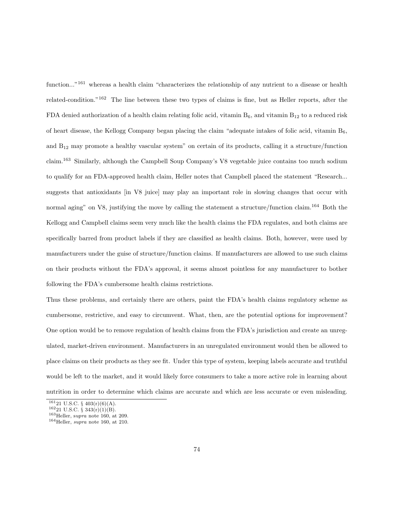function..."<sup>161</sup> whereas a health claim "characterizes the relationship of any nutrient to a disease or health related-condition."<sup>162</sup> The line between these two types of claims is fine, but as Heller reports, after the FDA denied authorization of a health claim relating folic acid, vitamin  $B_6$ , and vitamin  $B_{12}$  to a reduced risk of heart disease, the Kellogg Company began placing the claim "adequate intakes of folic acid, vitamin  $B_6$ , and B<sup>12</sup> may promote a healthy vascular system" on certain of its products, calling it a structure/function claim.<sup>163</sup> Similarly, although the Campbell Soup Company's V8 vegetable juice contains too much sodium to qualify for an FDA-approved health claim, Heller notes that Campbell placed the statement "Research... suggests that antioxidants [in V8 juice] may play an important role in slowing changes that occur with normal aging" on V8, justifying the move by calling the statement a structure/function claim.<sup>164</sup> Both the Kellogg and Campbell claims seem very much like the health claims the FDA regulates, and both claims are specifically barred from product labels if they are classified as health claims. Both, however, were used by manufacturers under the guise of structure/function claims. If manufacturers are allowed to use such claims on their products without the FDA's approval, it seems almost pointless for any manufacturer to bother following the FDA's cumbersome health claims restrictions.

Thus these problems, and certainly there are others, paint the FDA's health claims regulatory scheme as cumbersome, restrictive, and easy to circumvent. What, then, are the potential options for improvement? One option would be to remove regulation of health claims from the FDA's jurisdiction and create an unregulated, market-driven environment. Manufacturers in an unregulated environment would then be allowed to place claims on their products as they see fit. Under this type of system, keeping labels accurate and truthful would be left to the market, and it would likely force consumers to take a more active role in learning about nutrition in order to determine which claims are accurate and which are less accurate or even misleading.

 $16121$  U.S.C. §  $403(r)(6)(A)$ .

 $16221$  U.S.C. § 343(r)(1)(B).

<sup>163</sup>Heller, supra note 160, at 209.

<sup>164</sup>Heller, supra note 160, at 210.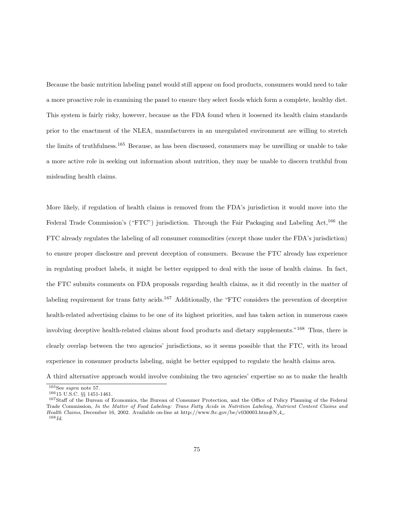Because the basic nutrition labeling panel would still appear on food products, consumers would need to take a more proactive role in examining the panel to ensure they select foods which form a complete, healthy diet. This system is fairly risky, however, because as the FDA found when it loosened its health claim standards prior to the enactment of the NLEA, manufacturers in an unregulated environment are willing to stretch the limits of truthfulness.<sup>165</sup> Because, as has been discussed, consumers may be unwilling or unable to take a more active role in seeking out information about nutrition, they may be unable to discern truthful from misleading health claims.

More likely, if regulation of health claims is removed from the FDA's jurisdiction it would move into the Federal Trade Commission's ("FTC") jurisdiction. Through the Fair Packaging and Labeling Act,<sup>166</sup> the FTC already regulates the labeling of all consumer commodities (except those under the FDA's jurisdiction) to ensure proper disclosure and prevent deception of consumers. Because the FTC already has experience in regulating product labels, it might be better equipped to deal with the issue of health claims. In fact, the FTC submits comments on FDA proposals regarding health claims, as it did recently in the matter of labeling requirement for trans fatty acids.<sup>167</sup> Additionally, the "FTC considers the prevention of deceptive health-related advertising claims to be one of its highest priorities, and has taken action in numerous cases involving deceptive health-related claims about food products and dietary supplements."<sup>168</sup> Thus, there is clearly overlap between the two agencies' jurisdictions, so it seems possible that the FTC, with its broad experience in consumer products labeling, might be better equipped to regulate the health claims area.

A third alternative approach would involve combining the two agencies' expertise so as to make the health

 $165$ See supra note 57.

<sup>166</sup>15 U.S.C. §§ 1451-1461.

<sup>&</sup>lt;sup>167</sup>Staff of the Bureau of Economics, the Bureau of Consumer Protection, and the Office of Policy Planning of the Federal Trade Commission, In the Matter of Food Labeling: Trans Fatty Acids in Nutrition Labeling, Nutrient Content Claims and Health Claims, December 16, 2002. Available on-line at http://www.ftc.gov/be/v030003.htm#N.4..  $168$ *Id.*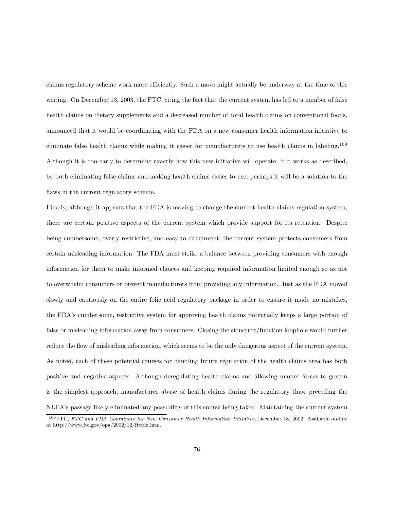claims regulatory scheme work more efficiently. Such a move might actually be underway at the time of this writing. On December 18, 2003, the FTC, citing the fact that the current system has led to a number of false health claims on dietary supplements and a decreased number of total health claims on conventional foods, announced that it would be coordinating with the FDA on a new consumer health information initiative to eliminate false health claims while making it easier for manufacturers to use health claims in labeling.<sup>169</sup> Although it is too early to determine exactly how this new initiative will operate, if it works as described, by both eliminating false claims and making health claims easier to use, perhaps it will be a solution to the flaws in the current regulatory scheme.

Finally, although it appears that the FDA is moving to change the current health claims regulation system, there are certain positive aspects of the current system which provide support for its retention. Despite being cumbersome, overly restrictive, and easy to circumvent, the current system protects consumers from certain misleading information. The FDA must strike a balance between providing consumers with enough information for them to make informed choices and keeping required information limited enough so as not to overwhelm consumers or prevent manufacturers from providing any information. Just as the FDA moved slowly and cautiously on the entire folic acid regulatory package in order to ensure it made no mistakes, the FDA's cumbersome, restrictive system for approving health claims potentially keeps a large portion of false or misleading information away from consumers. Closing the structure/function loophole would further reduce the flow of misleading information, which seems to be the only dangerous aspect of the current system. As noted, each of these potential courses for handling future regulation of the health claims area has both positive and negative aspects. Although deregulating health claims and allowing market forces to govern is the simplest approach, manufacturer abuse of health claims during the regulatory thaw preceding the NLEA's passage likely eliminated any possibility of this course being taken. Maintaining the current system

<sup>&</sup>lt;sup>169</sup>FTC, FTC and FDA Coordinate for New Consumer Health Information Initiative, December 18, 2002. Available on-line at http://www.ftc.gov/opa/2002/12/ftcfda.htm.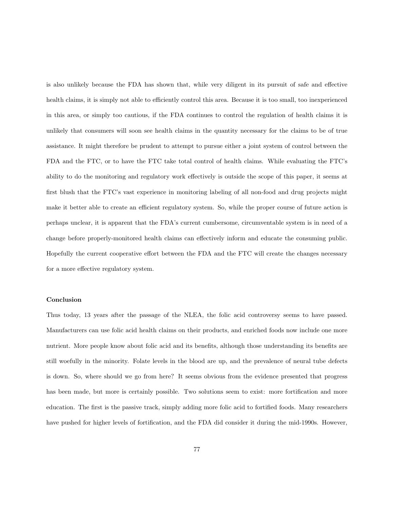is also unlikely because the FDA has shown that, while very diligent in its pursuit of safe and effective health claims, it is simply not able to efficiently control this area. Because it is too small, too inexperienced in this area, or simply too cautious, if the FDA continues to control the regulation of health claims it is unlikely that consumers will soon see health claims in the quantity necessary for the claims to be of true assistance. It might therefore be prudent to attempt to pursue either a joint system of control between the FDA and the FTC, or to have the FTC take total control of health claims. While evaluating the FTC's ability to do the monitoring and regulatory work effectively is outside the scope of this paper, it seems at first blush that the FTC's vast experience in monitoring labeling of all non-food and drug projects might make it better able to create an efficient regulatory system. So, while the proper course of future action is perhaps unclear, it is apparent that the FDA's current cumbersome, circumventable system is in need of a change before properly-monitored health claims can effectively inform and educate the consuming public. Hopefully the current cooperative effort between the FDA and the FTC will create the changes necessary for a more effective regulatory system.

## Conclusion

Thus today, 13 years after the passage of the NLEA, the folic acid controversy seems to have passed. Manufacturers can use folic acid health claims on their products, and enriched foods now include one more nutrient. More people know about folic acid and its benefits, although those understanding its benefits are still woefully in the minority. Folate levels in the blood are up, and the prevalence of neural tube defects is down. So, where should we go from here? It seems obvious from the evidence presented that progress has been made, but more is certainly possible. Two solutions seem to exist: more fortification and more education. The first is the passive track, simply adding more folic acid to fortified foods. Many researchers have pushed for higher levels of fortification, and the FDA did consider it during the mid-1990s. However,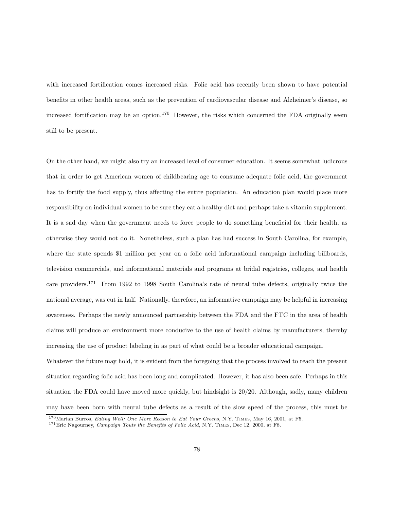with increased fortification comes increased risks. Folic acid has recently been shown to have potential benefits in other health areas, such as the prevention of cardiovascular disease and Alzheimer's disease, so increased fortification may be an option.<sup>170</sup> However, the risks which concerned the FDA originally seem still to be present.

On the other hand, we might also try an increased level of consumer education. It seems somewhat ludicrous that in order to get American women of childbearing age to consume adequate folic acid, the government has to fortify the food supply, thus affecting the entire population. An education plan would place more responsibility on individual women to be sure they eat a healthy diet and perhaps take a vitamin supplement. It is a sad day when the government needs to force people to do something beneficial for their health, as otherwise they would not do it. Nonetheless, such a plan has had success in South Carolina, for example, where the state spends \$1 million per year on a folic acid informational campaign including billboards, television commercials, and informational materials and programs at bridal registries, colleges, and health care providers.<sup>171</sup> From 1992 to 1998 South Carolina's rate of neural tube defects, originally twice the national average, was cut in half. Nationally, therefore, an informative campaign may be helpful in increasing awareness. Perhaps the newly announced partnership between the FDA and the FTC in the area of health claims will produce an environment more conducive to the use of health claims by manufacturers, thereby increasing the use of product labeling in as part of what could be a broader educational campaign.

Whatever the future may hold, it is evident from the foregoing that the process involved to reach the present situation regarding folic acid has been long and complicated. However, it has also been safe. Perhaps in this situation the FDA could have moved more quickly, but hindsight is 20/20. Although, sadly, many children may have been born with neural tube defects as a result of the slow speed of the process, this must be

<sup>170</sup>Marian Burros, Eating Well; One More Reason to Eat Your Greens, N.Y. Times, May 16, 2001, at F5.

 $1^{71}$  Eric Nagourney, Campaign Touts the Benefits of Folic Acid, N.Y. TIMES, Dec 12, 2000, at F8.